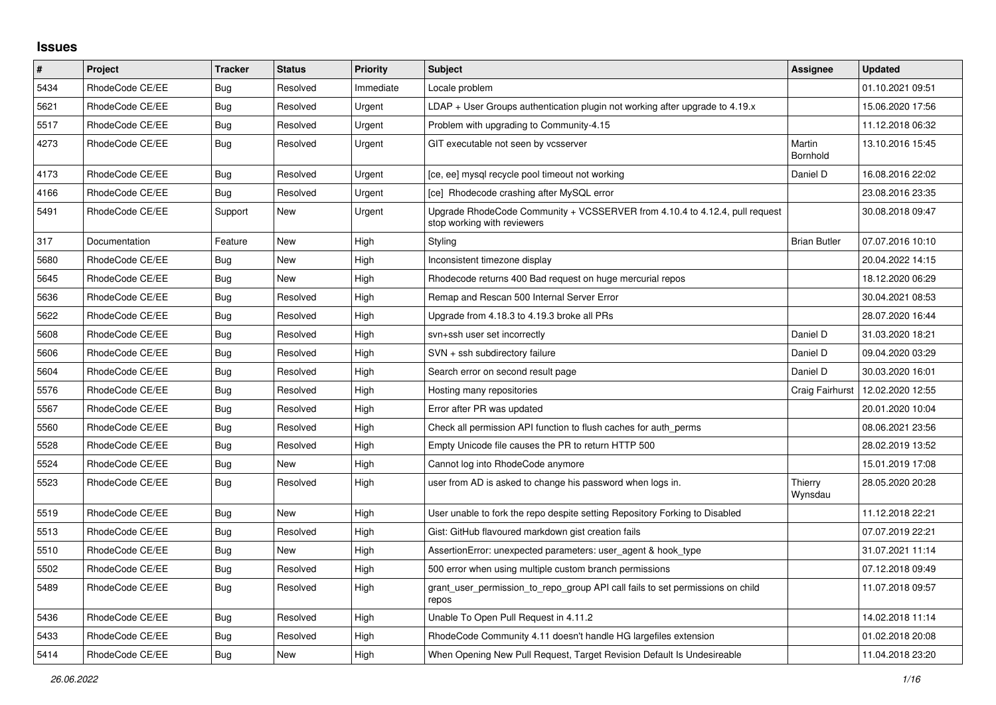## **Issues**

| $\sharp$ | Project         | <b>Tracker</b> | <b>Status</b> | <b>Priority</b> | <b>Subject</b>                                                                                             | Assignee            | <b>Updated</b>   |
|----------|-----------------|----------------|---------------|-----------------|------------------------------------------------------------------------------------------------------------|---------------------|------------------|
| 5434     | RhodeCode CE/EE | Bug            | Resolved      | Immediate       | Locale problem                                                                                             |                     | 01.10.2021 09:51 |
| 5621     | RhodeCode CE/EE | Bug            | Resolved      | Urgent          | LDAP + User Groups authentication plugin not working after upgrade to 4.19.x                               |                     | 15.06.2020 17:56 |
| 5517     | RhodeCode CE/EE | Bug            | Resolved      | Urgent          | Problem with upgrading to Community-4.15                                                                   |                     | 11.12.2018 06:32 |
| 4273     | RhodeCode CE/EE | <b>Bug</b>     | Resolved      | Urgent          | GIT executable not seen by vcsserver                                                                       | Martin<br>Bornhold  | 13.10.2016 15:45 |
| 4173     | RhodeCode CE/EE | Bug            | Resolved      | Urgent          | [ce, ee] mysql recycle pool timeout not working                                                            | Daniel D            | 16.08.2016 22:02 |
| 4166     | RhodeCode CE/EE | <b>Bug</b>     | Resolved      | Urgent          | [ce] Rhodecode crashing after MySQL error                                                                  |                     | 23.08.2016 23:35 |
| 5491     | RhodeCode CE/EE | Support        | New           | Urgent          | Upgrade RhodeCode Community + VCSSERVER from 4.10.4 to 4.12.4, pull request<br>stop working with reviewers |                     | 30.08.2018 09:47 |
| 317      | Documentation   | Feature        | New           | High            | Styling                                                                                                    | <b>Brian Butler</b> | 07.07.2016 10:10 |
| 5680     | RhodeCode CE/EE | <b>Bug</b>     | <b>New</b>    | High            | Inconsistent timezone display                                                                              |                     | 20.04.2022 14:15 |
| 5645     | RhodeCode CE/EE | Bug            | New           | High            | Rhodecode returns 400 Bad request on huge mercurial repos                                                  |                     | 18.12.2020 06:29 |
| 5636     | RhodeCode CE/EE | Bug            | Resolved      | High            | Remap and Rescan 500 Internal Server Error                                                                 |                     | 30.04.2021 08:53 |
| 5622     | RhodeCode CE/EE | <b>Bug</b>     | Resolved      | High            | Upgrade from 4.18.3 to 4.19.3 broke all PRs                                                                |                     | 28.07.2020 16:44 |
| 5608     | RhodeCode CE/EE | <b>Bug</b>     | Resolved      | High            | svn+ssh user set incorrectly                                                                               | Daniel D            | 31.03.2020 18:21 |
| 5606     | RhodeCode CE/EE | <b>Bug</b>     | Resolved      | High            | SVN + ssh subdirectory failure                                                                             | Daniel D            | 09.04.2020 03:29 |
| 5604     | RhodeCode CE/EE | Bug            | Resolved      | High            | Search error on second result page                                                                         | Daniel D            | 30.03.2020 16:01 |
| 5576     | RhodeCode CE/EE | Bug            | Resolved      | High            | Hosting many repositories                                                                                  | Craig Fairhurst     | 12.02.2020 12:55 |
| 5567     | RhodeCode CE/EE | Bug            | Resolved      | High            | Error after PR was updated                                                                                 |                     | 20.01.2020 10:04 |
| 5560     | RhodeCode CE/EE | <b>Bug</b>     | Resolved      | High            | Check all permission API function to flush caches for auth perms                                           |                     | 08.06.2021 23:56 |
| 5528     | RhodeCode CE/EE | Bug            | Resolved      | High            | Empty Unicode file causes the PR to return HTTP 500                                                        |                     | 28.02.2019 13:52 |
| 5524     | RhodeCode CE/EE | Bug            | New           | High            | Cannot log into RhodeCode anymore                                                                          |                     | 15.01.2019 17:08 |
| 5523     | RhodeCode CE/EE | <b>Bug</b>     | Resolved      | High            | user from AD is asked to change his password when logs in.                                                 | Thierry<br>Wynsdau  | 28.05.2020 20:28 |
| 5519     | RhodeCode CE/EE | Bug            | <b>New</b>    | High            | User unable to fork the repo despite setting Repository Forking to Disabled                                |                     | 11.12.2018 22:21 |
| 5513     | RhodeCode CE/EE | Bug            | Resolved      | High            | Gist: GitHub flavoured markdown gist creation fails                                                        |                     | 07.07.2019 22:21 |
| 5510     | RhodeCode CE/EE | Bug            | New           | High            | AssertionError: unexpected parameters: user_agent & hook_type                                              |                     | 31.07.2021 11:14 |
| 5502     | RhodeCode CE/EE | Bug            | Resolved      | High            | 500 error when using multiple custom branch permissions                                                    |                     | 07.12.2018 09:49 |
| 5489     | RhodeCode CE/EE | Bug            | Resolved      | High            | grant_user_permission_to_repo_group API call fails to set permissions on child<br>repos                    |                     | 11.07.2018 09:57 |
| 5436     | RhodeCode CE/EE | Bug            | Resolved      | High            | Unable To Open Pull Request in 4.11.2                                                                      |                     | 14.02.2018 11:14 |
| 5433     | RhodeCode CE/EE | <b>Bug</b>     | Resolved      | High            | RhodeCode Community 4.11 doesn't handle HG largefiles extension                                            |                     | 01.02.2018 20:08 |
| 5414     | RhodeCode CE/EE | Bug            | New           | High            | When Opening New Pull Request, Target Revision Default Is Undesireable                                     |                     | 11.04.2018 23:20 |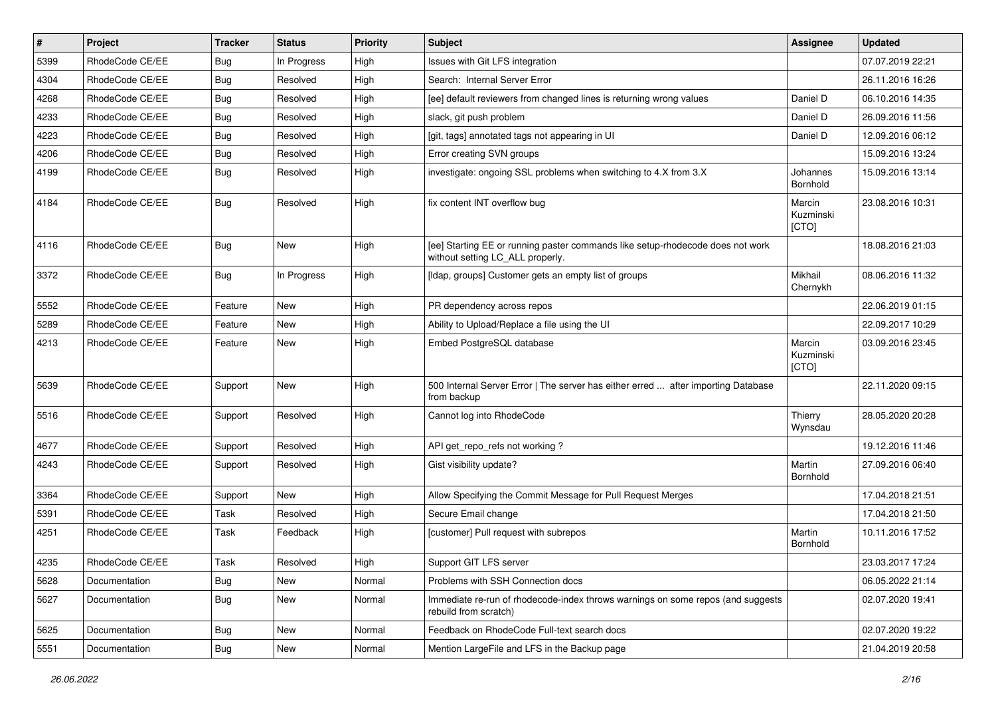| #    | Project         | <b>Tracker</b> | <b>Status</b> | Priority | Subject                                                                                                            | <b>Assignee</b>              | <b>Updated</b>   |
|------|-----------------|----------------|---------------|----------|--------------------------------------------------------------------------------------------------------------------|------------------------------|------------------|
| 5399 | RhodeCode CE/EE | Bug            | In Progress   | High     | Issues with Git LFS integration                                                                                    |                              | 07.07.2019 22:21 |
| 4304 | RhodeCode CE/EE | Bug            | Resolved      | High     | Search: Internal Server Error                                                                                      |                              | 26.11.2016 16:26 |
| 4268 | RhodeCode CE/EE | Bug            | Resolved      | High     | [ee] default reviewers from changed lines is returning wrong values                                                | Daniel D                     | 06.10.2016 14:35 |
| 4233 | RhodeCode CE/EE | Bug            | Resolved      | High     | slack, git push problem                                                                                            | Daniel D                     | 26.09.2016 11:56 |
| 4223 | RhodeCode CE/EE | <b>Bug</b>     | Resolved      | High     | [git, tags] annotated tags not appearing in UI                                                                     | Daniel D                     | 12.09.2016 06:12 |
| 4206 | RhodeCode CE/EE | Bug            | Resolved      | High     | Error creating SVN groups                                                                                          |                              | 15.09.2016 13:24 |
| 4199 | RhodeCode CE/EE | Bug            | Resolved      | High     | investigate: ongoing SSL problems when switching to 4.X from 3.X                                                   | Johannes<br>Bornhold         | 15.09.2016 13:14 |
| 4184 | RhodeCode CE/EE | Bug            | Resolved      | High     | fix content INT overflow bug                                                                                       | Marcin<br>Kuzminski<br>[CTO] | 23.08.2016 10:31 |
| 4116 | RhodeCode CE/EE | Bug            | New           | High     | [ee] Starting EE or running paster commands like setup-rhodecode does not work<br>without setting LC_ALL properly. |                              | 18.08.2016 21:03 |
| 3372 | RhodeCode CE/EE | Bug            | In Progress   | High     | [Idap, groups] Customer gets an empty list of groups                                                               | Mikhail<br>Chernykh          | 08.06.2016 11:32 |
| 5552 | RhodeCode CE/EE | Feature        | <b>New</b>    | High     | PR dependency across repos                                                                                         |                              | 22.06.2019 01:15 |
| 5289 | RhodeCode CE/EE | Feature        | New           | High     | Ability to Upload/Replace a file using the UI                                                                      |                              | 22.09.2017 10:29 |
| 4213 | RhodeCode CE/EE | Feature        | New           | High     | Embed PostgreSQL database                                                                                          | Marcin<br>Kuzminski<br>[CTO] | 03.09.2016 23:45 |
| 5639 | RhodeCode CE/EE | Support        | New           | High     | 500 Internal Server Error   The server has either erred  after importing Database<br>from backup                   |                              | 22.11.2020 09:15 |
| 5516 | RhodeCode CE/EE | Support        | Resolved      | High     | Cannot log into RhodeCode                                                                                          | Thierry<br>Wynsdau           | 28.05.2020 20:28 |
| 4677 | RhodeCode CE/EE | Support        | Resolved      | High     | API get repo refs not working?                                                                                     |                              | 19.12.2016 11:46 |
| 4243 | RhodeCode CE/EE | Support        | Resolved      | High     | Gist visibility update?                                                                                            | Martin<br>Bornhold           | 27.09.2016 06:40 |
| 3364 | RhodeCode CE/EE | Support        | New           | High     | Allow Specifying the Commit Message for Pull Request Merges                                                        |                              | 17.04.2018 21:51 |
| 5391 | RhodeCode CE/EE | Task           | Resolved      | High     | Secure Email change                                                                                                |                              | 17.04.2018 21:50 |
| 4251 | RhodeCode CE/EE | Task           | Feedback      | High     | [customer] Pull request with subrepos                                                                              | Martin<br>Bornhold           | 10.11.2016 17:52 |
| 4235 | RhodeCode CE/EE | Task           | Resolved      | High     | Support GIT LFS server                                                                                             |                              | 23.03.2017 17:24 |
| 5628 | Documentation   | Bug            | New           | Normal   | Problems with SSH Connection docs                                                                                  |                              | 06.05.2022 21:14 |
| 5627 | Documentation   | Bug            | New           | Normal   | Immediate re-run of rhodecode-index throws warnings on some repos (and suggests<br>rebuild from scratch)           |                              | 02.07.2020 19:41 |
| 5625 | Documentation   | <b>Bug</b>     | New           | Normal   | Feedback on RhodeCode Full-text search docs                                                                        |                              | 02.07.2020 19:22 |
| 5551 | Documentation   | Bug            | New           | Normal   | Mention LargeFile and LFS in the Backup page                                                                       |                              | 21.04.2019 20:58 |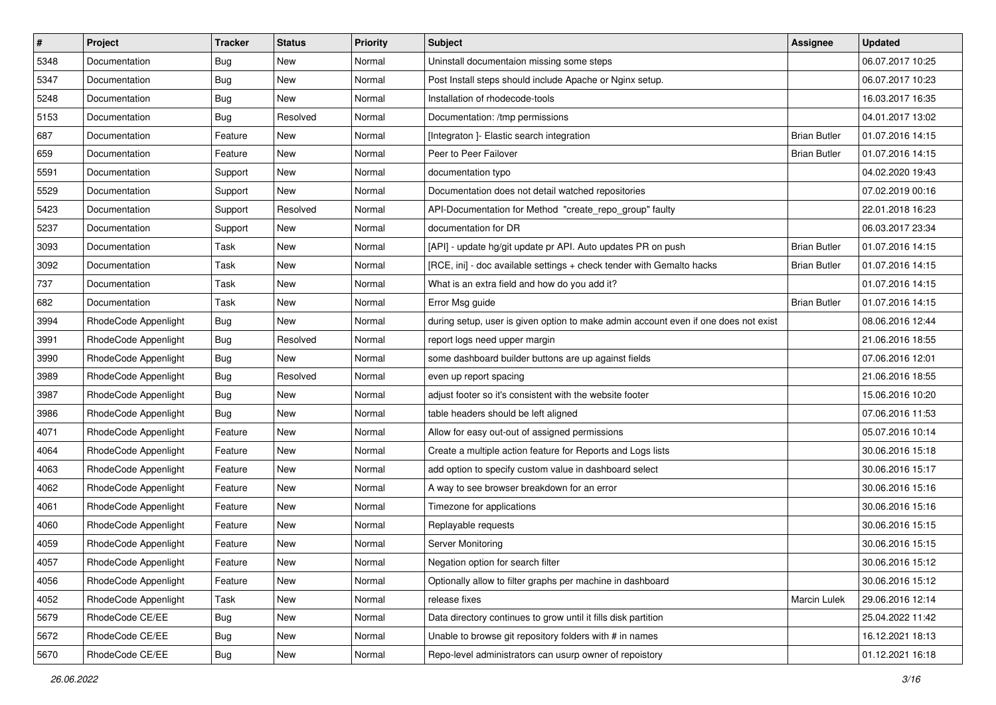| $\vert$ # | Project              | Tracker    | <b>Status</b> | <b>Priority</b> | <b>Subject</b>                                                                      | <b>Assignee</b>     | <b>Updated</b>   |
|-----------|----------------------|------------|---------------|-----------------|-------------------------------------------------------------------------------------|---------------------|------------------|
| 5348      | Documentation        | <b>Bug</b> | New           | Normal          | Uninstall documentaion missing some steps                                           |                     | 06.07.2017 10:25 |
| 5347      | Documentation        | <b>Bug</b> | New           | Normal          | Post Install steps should include Apache or Nginx setup.                            |                     | 06.07.2017 10:23 |
| 5248      | Documentation        | <b>Bug</b> | New           | Normal          | Installation of rhodecode-tools                                                     |                     | 16.03.2017 16:35 |
| 5153      | Documentation        | <b>Bug</b> | Resolved      | Normal          | Documentation: /tmp permissions                                                     |                     | 04.01.2017 13:02 |
| 687       | Documentation        | Feature    | New           | Normal          | [Integraton] - Elastic search integration                                           | <b>Brian Butler</b> | 01.07.2016 14:15 |
| 659       | Documentation        | Feature    | New           | Normal          | Peer to Peer Failover                                                               | <b>Brian Butler</b> | 01.07.2016 14:15 |
| 5591      | Documentation        | Support    | New           | Normal          | documentation typo                                                                  |                     | 04.02.2020 19:43 |
| 5529      | Documentation        | Support    | New           | Normal          | Documentation does not detail watched repositories                                  |                     | 07.02.2019 00:16 |
| 5423      | Documentation        | Support    | Resolved      | Normal          | API-Documentation for Method "create_repo_group" faulty                             |                     | 22.01.2018 16:23 |
| 5237      | Documentation        | Support    | New           | Normal          | documentation for DR                                                                |                     | 06.03.2017 23:34 |
| 3093      | Documentation        | Task       | New           | Normal          | [API] - update hg/git update pr API. Auto updates PR on push                        | <b>Brian Butler</b> | 01.07.2016 14:15 |
| 3092      | Documentation        | Task       | New           | Normal          | [RCE, ini] - doc available settings + check tender with Gemalto hacks               | <b>Brian Butler</b> | 01.07.2016 14:15 |
| 737       | Documentation        | Task       | New           | Normal          | What is an extra field and how do you add it?                                       |                     | 01.07.2016 14:15 |
| 682       | Documentation        | Task       | New           | Normal          | Error Msg guide                                                                     | <b>Brian Butler</b> | 01.07.2016 14:15 |
| 3994      | RhodeCode Appenlight | <b>Bug</b> | New           | Normal          | during setup, user is given option to make admin account even if one does not exist |                     | 08.06.2016 12:44 |
| 3991      | RhodeCode Appenlight | Bug        | Resolved      | Normal          | report logs need upper margin                                                       |                     | 21.06.2016 18:55 |
| 3990      | RhodeCode Appenlight | <b>Bug</b> | New           | Normal          | some dashboard builder buttons are up against fields                                |                     | 07.06.2016 12:01 |
| 3989      | RhodeCode Appenlight | Bug        | Resolved      | Normal          | even up report spacing                                                              |                     | 21.06.2016 18:55 |
| 3987      | RhodeCode Appenlight | <b>Bug</b> | New           | Normal          | adjust footer so it's consistent with the website footer                            |                     | 15.06.2016 10:20 |
| 3986      | RhodeCode Appenlight | <b>Bug</b> | New           | Normal          | table headers should be left aligned                                                |                     | 07.06.2016 11:53 |
| 4071      | RhodeCode Appenlight | Feature    | New           | Normal          | Allow for easy out-out of assigned permissions                                      |                     | 05.07.2016 10:14 |
| 4064      | RhodeCode Appenlight | Feature    | New           | Normal          | Create a multiple action feature for Reports and Logs lists                         |                     | 30.06.2016 15:18 |
| 4063      | RhodeCode Appenlight | Feature    | New           | Normal          | add option to specify custom value in dashboard select                              |                     | 30.06.2016 15:17 |
| 4062      | RhodeCode Appenlight | Feature    | New           | Normal          | A way to see browser breakdown for an error                                         |                     | 30.06.2016 15:16 |
| 4061      | RhodeCode Appenlight | Feature    | New           | Normal          | Timezone for applications                                                           |                     | 30.06.2016 15:16 |
| 4060      | RhodeCode Appenlight | Feature    | New           | Normal          | Replayable requests                                                                 |                     | 30.06.2016 15:15 |
| 4059      | RhodeCode Appenlight | Feature    | New           | Normal          | Server Monitoring                                                                   |                     | 30.06.2016 15:15 |
| 4057      | RhodeCode Appenlight | Feature    | New           | Normal          | Negation option for search filter                                                   |                     | 30.06.2016 15:12 |
| 4056      | RhodeCode Appenlight | Feature    | New           | Normal          | Optionally allow to filter graphs per machine in dashboard                          |                     | 30.06.2016 15:12 |
| 4052      | RhodeCode Appenlight | Task       | New           | Normal          | release fixes                                                                       | Marcin Lulek        | 29.06.2016 12:14 |
| 5679      | RhodeCode CE/EE      | Bug        | New           | Normal          | Data directory continues to grow until it fills disk partition                      |                     | 25.04.2022 11:42 |
| 5672      | RhodeCode CE/EE      | <b>Bug</b> | New           | Normal          | Unable to browse git repository folders with # in names                             |                     | 16.12.2021 18:13 |
| 5670      | RhodeCode CE/EE      | Bug        | New           | Normal          | Repo-level administrators can usurp owner of repoistory                             |                     | 01.12.2021 16:18 |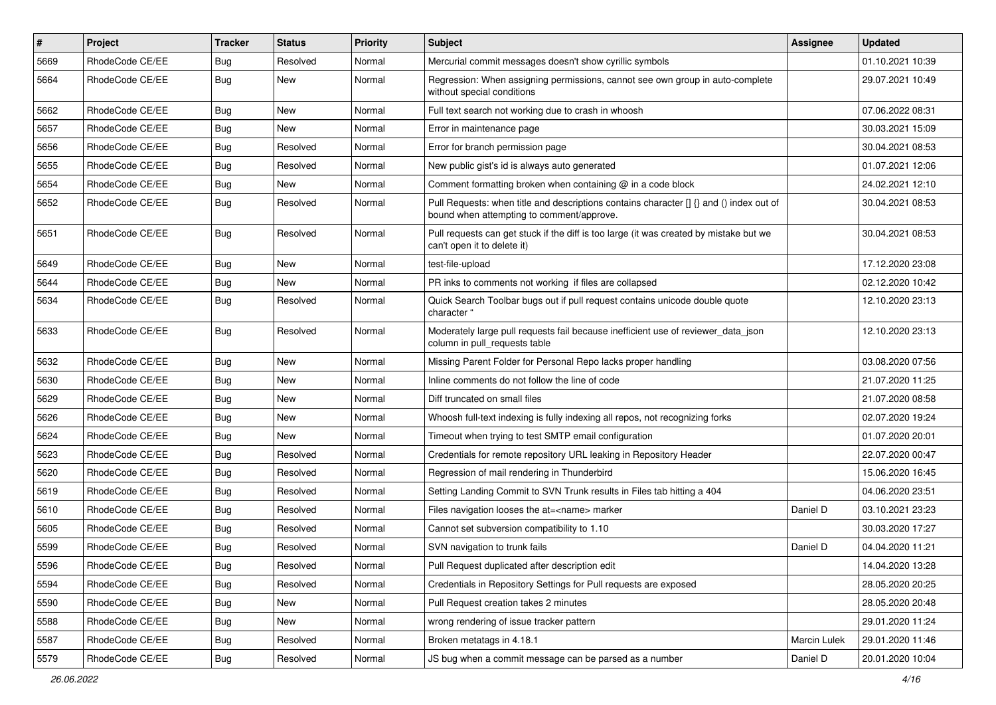| $\sharp$ | Project         | <b>Tracker</b> | <b>Status</b> | Priority | <b>Subject</b>                                                                                                                       | <b>Assignee</b> | <b>Updated</b>   |
|----------|-----------------|----------------|---------------|----------|--------------------------------------------------------------------------------------------------------------------------------------|-----------------|------------------|
| 5669     | RhodeCode CE/EE | <b>Bug</b>     | Resolved      | Normal   | Mercurial commit messages doesn't show cyrillic symbols                                                                              |                 | 01.10.2021 10:39 |
| 5664     | RhodeCode CE/EE | Bug            | New           | Normal   | Regression: When assigning permissions, cannot see own group in auto-complete<br>without special conditions                          |                 | 29.07.2021 10:49 |
| 5662     | RhodeCode CE/EE | Bug            | <b>New</b>    | Normal   | Full text search not working due to crash in whoosh                                                                                  |                 | 07.06.2022 08:31 |
| 5657     | RhodeCode CE/EE | Bug            | New           | Normal   | Error in maintenance page                                                                                                            |                 | 30.03.2021 15:09 |
| 5656     | RhodeCode CE/EE | Bug            | Resolved      | Normal   | Error for branch permission page                                                                                                     |                 | 30.04.2021 08:53 |
| 5655     | RhodeCode CE/EE | Bug            | Resolved      | Normal   | New public gist's id is always auto generated                                                                                        |                 | 01.07.2021 12:06 |
| 5654     | RhodeCode CE/EE | Bug            | New           | Normal   | Comment formatting broken when containing @ in a code block                                                                          |                 | 24.02.2021 12:10 |
| 5652     | RhodeCode CE/EE | Bug            | Resolved      | Normal   | Pull Requests: when title and descriptions contains character [] {} and () index out of<br>bound when attempting to comment/approve. |                 | 30.04.2021 08:53 |
| 5651     | RhodeCode CE/EE | Bug            | Resolved      | Normal   | Pull requests can get stuck if the diff is too large (it was created by mistake but we<br>can't open it to delete it)                |                 | 30.04.2021 08:53 |
| 5649     | RhodeCode CE/EE | Bug            | <b>New</b>    | Normal   | test-file-upload                                                                                                                     |                 | 17.12.2020 23:08 |
| 5644     | RhodeCode CE/EE | Bug            | New           | Normal   | PR inks to comments not working if files are collapsed                                                                               |                 | 02.12.2020 10:42 |
| 5634     | RhodeCode CE/EE | <b>Bug</b>     | Resolved      | Normal   | Quick Search Toolbar bugs out if pull request contains unicode double quote<br>character "                                           |                 | 12.10.2020 23:13 |
| 5633     | RhodeCode CE/EE | Bug            | Resolved      | Normal   | Moderately large pull requests fail because inefficient use of reviewer_data_json<br>column in pull requests table                   |                 | 12.10.2020 23:13 |
| 5632     | RhodeCode CE/EE | Bug            | <b>New</b>    | Normal   | Missing Parent Folder for Personal Repo lacks proper handling                                                                        |                 | 03.08.2020 07:56 |
| 5630     | RhodeCode CE/EE | <b>Bug</b>     | New           | Normal   | Inline comments do not follow the line of code                                                                                       |                 | 21.07.2020 11:25 |
| 5629     | RhodeCode CE/EE | Bug            | New           | Normal   | Diff truncated on small files                                                                                                        |                 | 21.07.2020 08:58 |
| 5626     | RhodeCode CE/EE | Bug            | New           | Normal   | Whoosh full-text indexing is fully indexing all repos, not recognizing forks                                                         |                 | 02.07.2020 19:24 |
| 5624     | RhodeCode CE/EE | Bug            | New           | Normal   | Timeout when trying to test SMTP email configuration                                                                                 |                 | 01.07.2020 20:01 |
| 5623     | RhodeCode CE/EE | Bug            | Resolved      | Normal   | Credentials for remote repository URL leaking in Repository Header                                                                   |                 | 22.07.2020 00:47 |
| 5620     | RhodeCode CE/EE | Bug            | Resolved      | Normal   | Regression of mail rendering in Thunderbird                                                                                          |                 | 15.06.2020 16:45 |
| 5619     | RhodeCode CE/EE | Bug            | Resolved      | Normal   | Setting Landing Commit to SVN Trunk results in Files tab hitting a 404                                                               |                 | 04.06.2020 23:51 |
| 5610     | RhodeCode CE/EE | Bug            | Resolved      | Normal   | Files navigation looses the at= <name> marker</name>                                                                                 | Daniel D        | 03.10.2021 23:23 |
| 5605     | RhodeCode CE/EE | <b>Bug</b>     | Resolved      | Normal   | Cannot set subversion compatibility to 1.10                                                                                          |                 | 30.03.2020 17:27 |
| 5599     | RhodeCode CE/EE | Bug            | Resolved      | Normal   | SVN navigation to trunk fails                                                                                                        | Daniel D        | 04.04.2020 11:21 |
| 5596     | RhodeCode CE/EE | Bug            | Resolved      | Normal   | Pull Request duplicated after description edit                                                                                       |                 | 14.04.2020 13:28 |
| 5594     | RhodeCode CE/EE | Bug            | Resolved      | Normal   | Credentials in Repository Settings for Pull requests are exposed                                                                     |                 | 28.05.2020 20:25 |
| 5590     | RhodeCode CE/EE | <b>Bug</b>     | New           | Normal   | Pull Request creation takes 2 minutes                                                                                                |                 | 28.05.2020 20:48 |
| 5588     | RhodeCode CE/EE | Bug            | New           | Normal   | wrong rendering of issue tracker pattern                                                                                             |                 | 29.01.2020 11:24 |
| 5587     | RhodeCode CE/EE | <b>Bug</b>     | Resolved      | Normal   | Broken metatags in 4.18.1                                                                                                            | Marcin Lulek    | 29.01.2020 11:46 |
| 5579     | RhodeCode CE/EE | Bug            | Resolved      | Normal   | JS bug when a commit message can be parsed as a number                                                                               | Daniel D        | 20.01.2020 10:04 |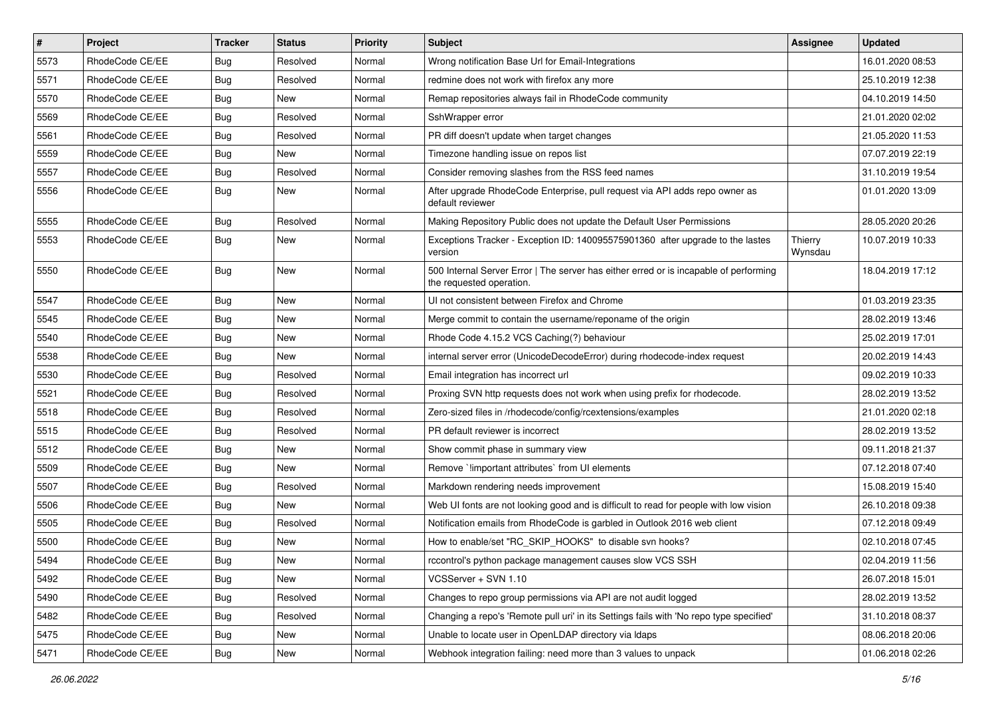| $\pmb{\#}$ | Project         | <b>Tracker</b> | <b>Status</b> | <b>Priority</b> | Subject                                                                                                           | <b>Assignee</b>    | <b>Updated</b>   |
|------------|-----------------|----------------|---------------|-----------------|-------------------------------------------------------------------------------------------------------------------|--------------------|------------------|
| 5573       | RhodeCode CE/EE | <b>Bug</b>     | Resolved      | Normal          | Wrong notification Base Url for Email-Integrations                                                                |                    | 16.01.2020 08:53 |
| 5571       | RhodeCode CE/EE | Bug            | Resolved      | Normal          | redmine does not work with firefox any more                                                                       |                    | 25.10.2019 12:38 |
| 5570       | RhodeCode CE/EE | Bug            | New           | Normal          | Remap repositories always fail in RhodeCode community                                                             |                    | 04.10.2019 14:50 |
| 5569       | RhodeCode CE/EE | Bug            | Resolved      | Normal          | SshWrapper error                                                                                                  |                    | 21.01.2020 02:02 |
| 5561       | RhodeCode CE/EE | Bug            | Resolved      | Normal          | PR diff doesn't update when target changes                                                                        |                    | 21.05.2020 11:53 |
| 5559       | RhodeCode CE/EE | Bug            | New           | Normal          | Timezone handling issue on repos list                                                                             |                    | 07.07.2019 22:19 |
| 5557       | RhodeCode CE/EE | Bug            | Resolved      | Normal          | Consider removing slashes from the RSS feed names                                                                 |                    | 31.10.2019 19:54 |
| 5556       | RhodeCode CE/EE | Bug            | New           | Normal          | After upgrade RhodeCode Enterprise, pull request via API adds repo owner as<br>default reviewer                   |                    | 01.01.2020 13:09 |
| 5555       | RhodeCode CE/EE | <b>Bug</b>     | Resolved      | Normal          | Making Repository Public does not update the Default User Permissions                                             |                    | 28.05.2020 20:26 |
| 5553       | RhodeCode CE/EE | Bug            | New           | Normal          | Exceptions Tracker - Exception ID: 140095575901360 after upgrade to the lastes<br>version                         | Thierry<br>Wynsdau | 10.07.2019 10:33 |
| 5550       | RhodeCode CE/EE | Bug            | <b>New</b>    | Normal          | 500 Internal Server Error   The server has either erred or is incapable of performing<br>the requested operation. |                    | 18.04.2019 17:12 |
| 5547       | RhodeCode CE/EE | Bug            | New           | Normal          | UI not consistent between Firefox and Chrome                                                                      |                    | 01.03.2019 23:35 |
| 5545       | RhodeCode CE/EE | Bug            | New           | Normal          | Merge commit to contain the username/reponame of the origin                                                       |                    | 28.02.2019 13:46 |
| 5540       | RhodeCode CE/EE | Bug            | New           | Normal          | Rhode Code 4.15.2 VCS Caching(?) behaviour                                                                        |                    | 25.02.2019 17:01 |
| 5538       | RhodeCode CE/EE | Bug            | <b>New</b>    | Normal          | internal server error (UnicodeDecodeError) during rhodecode-index request                                         |                    | 20.02.2019 14:43 |
| 5530       | RhodeCode CE/EE | Bug            | Resolved      | Normal          | Email integration has incorrect url                                                                               |                    | 09.02.2019 10:33 |
| 5521       | RhodeCode CE/EE | Bug            | Resolved      | Normal          | Proxing SVN http requests does not work when using prefix for rhodecode.                                          |                    | 28.02.2019 13:52 |
| 5518       | RhodeCode CE/EE | Bug            | Resolved      | Normal          | Zero-sized files in /rhodecode/config/rcextensions/examples                                                       |                    | 21.01.2020 02:18 |
| 5515       | RhodeCode CE/EE | <b>Bug</b>     | Resolved      | Normal          | PR default reviewer is incorrect                                                                                  |                    | 28.02.2019 13:52 |
| 5512       | RhodeCode CE/EE | Bug            | New           | Normal          | Show commit phase in summary view                                                                                 |                    | 09.11.2018 21:37 |
| 5509       | RhodeCode CE/EE | Bug            | New           | Normal          | Remove `!important attributes` from UI elements                                                                   |                    | 07.12.2018 07:40 |
| 5507       | RhodeCode CE/EE | <b>Bug</b>     | Resolved      | Normal          | Markdown rendering needs improvement                                                                              |                    | 15.08.2019 15:40 |
| 5506       | RhodeCode CE/EE | Bug            | <b>New</b>    | Normal          | Web UI fonts are not looking good and is difficult to read for people with low vision                             |                    | 26.10.2018 09:38 |
| 5505       | RhodeCode CE/EE | Bug            | Resolved      | Normal          | Notification emails from RhodeCode is garbled in Outlook 2016 web client                                          |                    | 07.12.2018 09:49 |
| 5500       | RhodeCode CE/EE | Bug            | New           | Normal          | How to enable/set "RC_SKIP_HOOKS" to disable svn hooks?                                                           |                    | 02.10.2018 07:45 |
| 5494       | RhodeCode CE/EE | Bug            | New           | Normal          | rccontrol's python package management causes slow VCS SSH                                                         |                    | 02.04.2019 11:56 |
| 5492       | RhodeCode CE/EE | Bug            | New           | Normal          | VCSServer + SVN 1.10                                                                                              |                    | 26.07.2018 15:01 |
| 5490       | RhodeCode CE/EE | Bug            | Resolved      | Normal          | Changes to repo group permissions via API are not audit logged                                                    |                    | 28.02.2019 13:52 |
| 5482       | RhodeCode CE/EE | Bug            | Resolved      | Normal          | Changing a repo's 'Remote pull uri' in its Settings fails with 'No repo type specified'                           |                    | 31.10.2018 08:37 |
| 5475       | RhodeCode CE/EE | Bug            | New           | Normal          | Unable to locate user in OpenLDAP directory via Idaps                                                             |                    | 08.06.2018 20:06 |
| 5471       | RhodeCode CE/EE | Bug            | New           | Normal          | Webhook integration failing: need more than 3 values to unpack                                                    |                    | 01.06.2018 02:26 |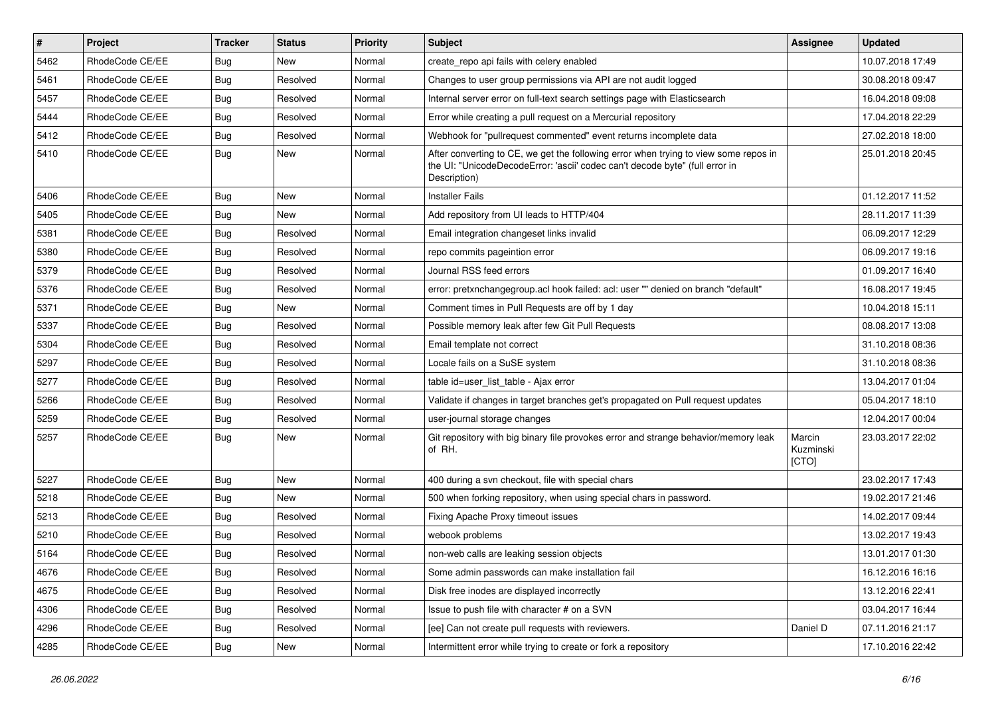| $\vert$ # | Project         | <b>Tracker</b> | <b>Status</b> | <b>Priority</b> | Subject                                                                                                                                                                              | <b>Assignee</b>              | <b>Updated</b>   |
|-----------|-----------------|----------------|---------------|-----------------|--------------------------------------------------------------------------------------------------------------------------------------------------------------------------------------|------------------------------|------------------|
| 5462      | RhodeCode CE/EE | Bug            | New           | Normal          | create repo api fails with celery enabled                                                                                                                                            |                              | 10.07.2018 17:49 |
| 5461      | RhodeCode CE/EE | Bug            | Resolved      | Normal          | Changes to user group permissions via API are not audit logged                                                                                                                       |                              | 30.08.2018 09:47 |
| 5457      | RhodeCode CE/EE | Bug            | Resolved      | Normal          | Internal server error on full-text search settings page with Elasticsearch                                                                                                           |                              | 16.04.2018 09:08 |
| 5444      | RhodeCode CE/EE | Bug            | Resolved      | Normal          | Error while creating a pull request on a Mercurial repository                                                                                                                        |                              | 17.04.2018 22:29 |
| 5412      | RhodeCode CE/EE | Bug            | Resolved      | Normal          | Webhook for "pullrequest commented" event returns incomplete data                                                                                                                    |                              | 27.02.2018 18:00 |
| 5410      | RhodeCode CE/EE | Bug            | New           | Normal          | After converting to CE, we get the following error when trying to view some repos in<br>the UI: "UnicodeDecodeError: 'ascii' codec can't decode byte" (full error in<br>Description) |                              | 25.01.2018 20:45 |
| 5406      | RhodeCode CE/EE | Bug            | New           | Normal          | <b>Installer Fails</b>                                                                                                                                                               |                              | 01.12.2017 11:52 |
| 5405      | RhodeCode CE/EE | Bug            | New           | Normal          | Add repository from UI leads to HTTP/404                                                                                                                                             |                              | 28.11.2017 11:39 |
| 5381      | RhodeCode CE/EE | Bug            | Resolved      | Normal          | Email integration changeset links invalid                                                                                                                                            |                              | 06.09.2017 12:29 |
| 5380      | RhodeCode CE/EE | <b>Bug</b>     | Resolved      | Normal          | repo commits pageintion error                                                                                                                                                        |                              | 06.09.2017 19:16 |
| 5379      | RhodeCode CE/EE | Bug            | Resolved      | Normal          | Journal RSS feed errors                                                                                                                                                              |                              | 01.09.2017 16:40 |
| 5376      | RhodeCode CE/EE | Bug            | Resolved      | Normal          | error: pretxnchangegroup.acl hook failed: acl: user "" denied on branch "default"                                                                                                    |                              | 16.08.2017 19:45 |
| 5371      | RhodeCode CE/EE | Bug            | <b>New</b>    | Normal          | Comment times in Pull Requests are off by 1 day                                                                                                                                      |                              | 10.04.2018 15:11 |
| 5337      | RhodeCode CE/EE | <b>Bug</b>     | Resolved      | Normal          | Possible memory leak after few Git Pull Requests                                                                                                                                     |                              | 08.08.2017 13:08 |
| 5304      | RhodeCode CE/EE | Bug            | Resolved      | Normal          | Email template not correct                                                                                                                                                           |                              | 31.10.2018 08:36 |
| 5297      | RhodeCode CE/EE | Bug            | Resolved      | Normal          | Locale fails on a SuSE system                                                                                                                                                        |                              | 31.10.2018 08:36 |
| 5277      | RhodeCode CE/EE | Bug            | Resolved      | Normal          | table id=user list table - Ajax error                                                                                                                                                |                              | 13.04.2017 01:04 |
| 5266      | RhodeCode CE/EE | Bug            | Resolved      | Normal          | Validate if changes in target branches get's propagated on Pull request updates                                                                                                      |                              | 05.04.2017 18:10 |
| 5259      | RhodeCode CE/EE | Bug            | Resolved      | Normal          | user-journal storage changes                                                                                                                                                         |                              | 12.04.2017 00:04 |
| 5257      | RhodeCode CE/EE | Bug            | New           | Normal          | Git repository with big binary file provokes error and strange behavior/memory leak<br>of RH.                                                                                        | Marcin<br>Kuzminski<br>[CTO] | 23.03.2017 22:02 |
| 5227      | RhodeCode CE/EE | Bug            | <b>New</b>    | Normal          | 400 during a svn checkout, file with special chars                                                                                                                                   |                              | 23.02.2017 17:43 |
| 5218      | RhodeCode CE/EE | Bug            | New           | Normal          | 500 when forking repository, when using special chars in password.                                                                                                                   |                              | 19.02.2017 21:46 |
| 5213      | RhodeCode CE/EE | Bug            | Resolved      | Normal          | Fixing Apache Proxy timeout issues                                                                                                                                                   |                              | 14.02.2017 09:44 |
| 5210      | RhodeCode CE/EE | Bug            | Resolved      | Normal          | webook problems                                                                                                                                                                      |                              | 13.02.2017 19:43 |
| 5164      | RhodeCode CE/EE | Bug            | Resolved      | Normal          | non-web calls are leaking session objects                                                                                                                                            |                              | 13.01.2017 01:30 |
| 4676      | RhodeCode CE/EE | <b>Bug</b>     | Resolved      | Normal          | Some admin passwords can make installation fail                                                                                                                                      |                              | 16.12.2016 16:16 |
| 4675      | RhodeCode CE/EE | Bug            | Resolved      | Normal          | Disk free inodes are displayed incorrectly                                                                                                                                           |                              | 13.12.2016 22:41 |
| 4306      | RhodeCode CE/EE | <b>Bug</b>     | Resolved      | Normal          | Issue to push file with character # on a SVN                                                                                                                                         |                              | 03.04.2017 16:44 |
| 4296      | RhodeCode CE/EE | <b>Bug</b>     | Resolved      | Normal          | [ee] Can not create pull requests with reviewers.                                                                                                                                    | Daniel D                     | 07.11.2016 21:17 |
| 4285      | RhodeCode CE/EE | <b>Bug</b>     | New           | Normal          | Intermittent error while trying to create or fork a repository                                                                                                                       |                              | 17.10.2016 22:42 |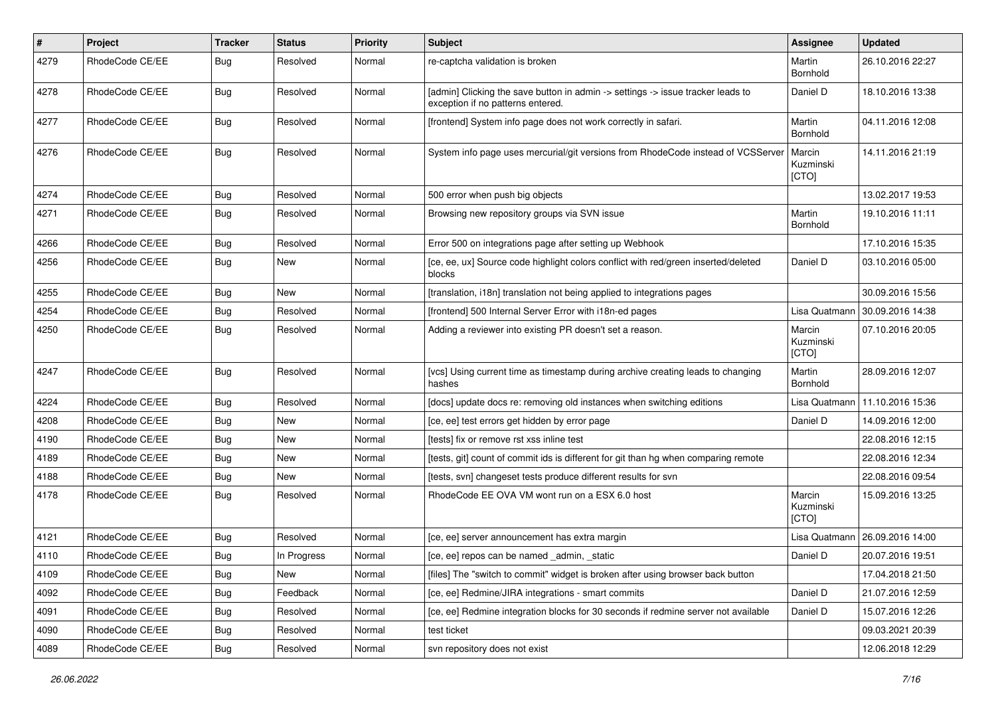| $\pmb{\#}$ | Project         | <b>Tracker</b> | <b>Status</b> | <b>Priority</b> | <b>Subject</b>                                                                                                       | Assignee                     | <b>Updated</b>   |
|------------|-----------------|----------------|---------------|-----------------|----------------------------------------------------------------------------------------------------------------------|------------------------------|------------------|
| 4279       | RhodeCode CE/EE | Bug            | Resolved      | Normal          | re-captcha validation is broken                                                                                      | Martin<br>Bornhold           | 26.10.2016 22:27 |
| 4278       | RhodeCode CE/EE | Bug            | Resolved      | Normal          | [admin] Clicking the save button in admin -> settings -> issue tracker leads to<br>exception if no patterns entered. | Daniel D                     | 18.10.2016 13:38 |
| 4277       | RhodeCode CE/EE | <b>Bug</b>     | Resolved      | Normal          | [frontend] System info page does not work correctly in safari.                                                       | Martin<br>Bornhold           | 04.11.2016 12:08 |
| 4276       | RhodeCode CE/EE | Bug            | Resolved      | Normal          | System info page uses mercurial/git versions from RhodeCode instead of VCSServer                                     | Marcin<br>Kuzminski<br>[CTO] | 14.11.2016 21:19 |
| 4274       | RhodeCode CE/EE | Bug            | Resolved      | Normal          | 500 error when push big objects                                                                                      |                              | 13.02.2017 19:53 |
| 4271       | RhodeCode CE/EE | Bug            | Resolved      | Normal          | Browsing new repository groups via SVN issue                                                                         | Martin<br>Bornhold           | 19.10.2016 11:11 |
| 4266       | RhodeCode CE/EE | <b>Bug</b>     | Resolved      | Normal          | Error 500 on integrations page after setting up Webhook                                                              |                              | 17.10.2016 15:35 |
| 4256       | RhodeCode CE/EE | Bug            | <b>New</b>    | Normal          | [ce, ee, ux] Source code highlight colors conflict with red/green inserted/deleted<br>blocks                         | Daniel D                     | 03.10.2016 05:00 |
| 4255       | RhodeCode CE/EE | Bug            | New           | Normal          | [translation, i18n] translation not being applied to integrations pages                                              |                              | 30.09.2016 15:56 |
| 4254       | RhodeCode CE/EE | Bug            | Resolved      | Normal          | [frontend] 500 Internal Server Error with i18n-ed pages                                                              | Lisa Quatmann                | 30.09.2016 14:38 |
| 4250       | RhodeCode CE/EE | <b>Bug</b>     | Resolved      | Normal          | Adding a reviewer into existing PR doesn't set a reason.                                                             | Marcin<br>Kuzminski<br>[CTO] | 07.10.2016 20:05 |
| 4247       | RhodeCode CE/EE | <b>Bug</b>     | Resolved      | Normal          | [vcs] Using current time as timestamp during archive creating leads to changing<br>hashes                            | Martin<br>Bornhold           | 28.09.2016 12:07 |
| 4224       | RhodeCode CE/EE | Bug            | Resolved      | Normal          | [docs] update docs re: removing old instances when switching editions                                                | Lisa Quatmann                | 11.10.2016 15:36 |
| 4208       | RhodeCode CE/EE | Bug            | <b>New</b>    | Normal          | [ce, ee] test errors get hidden by error page                                                                        | Daniel D                     | 14.09.2016 12:00 |
| 4190       | RhodeCode CE/EE | Bug            | New           | Normal          | [tests] fix or remove rst xss inline test                                                                            |                              | 22.08.2016 12:15 |
| 4189       | RhodeCode CE/EE | <b>Bug</b>     | <b>New</b>    | Normal          | [tests, git] count of commit ids is different for git than hg when comparing remote                                  |                              | 22.08.2016 12:34 |
| 4188       | RhodeCode CE/EE | Bug            | New           | Normal          | [tests, svn] changeset tests produce different results for svn                                                       |                              | 22.08.2016 09:54 |
| 4178       | RhodeCode CE/EE | Bug            | Resolved      | Normal          | RhodeCode EE OVA VM wont run on a ESX 6.0 host                                                                       | Marcin<br>Kuzminski<br>[CTO] | 15.09.2016 13:25 |
| 4121       | RhodeCode CE/EE | Bug            | Resolved      | Normal          | [ce, ee] server announcement has extra margin                                                                        | Lisa Quatmann                | 26.09.2016 14:00 |
| 4110       | RhodeCode CE/EE | Bug            | In Progress   | Normal          | [ce, ee] repos can be named _admin, _static                                                                          | Daniel D                     | 20.07.2016 19:51 |
| 4109       | RhodeCode CE/EE | <b>Bug</b>     | New           | Normal          | [files] The "switch to commit" widget is broken after using browser back button                                      |                              | 17.04.2018 21:50 |
| 4092       | RhodeCode CE/EE | Bug            | Feedback      | Normal          | [ce, ee] Redmine/JIRA integrations - smart commits                                                                   | Daniel D                     | 21.07.2016 12:59 |
| 4091       | RhodeCode CE/EE | <b>Bug</b>     | Resolved      | Normal          | [ce, ee] Redmine integration blocks for 30 seconds if redmine server not available                                   | Daniel D                     | 15.07.2016 12:26 |
| 4090       | RhodeCode CE/EE | Bug            | Resolved      | Normal          | test ticket                                                                                                          |                              | 09.03.2021 20:39 |
| 4089       | RhodeCode CE/EE | <b>Bug</b>     | Resolved      | Normal          | svn repository does not exist                                                                                        |                              | 12.06.2018 12:29 |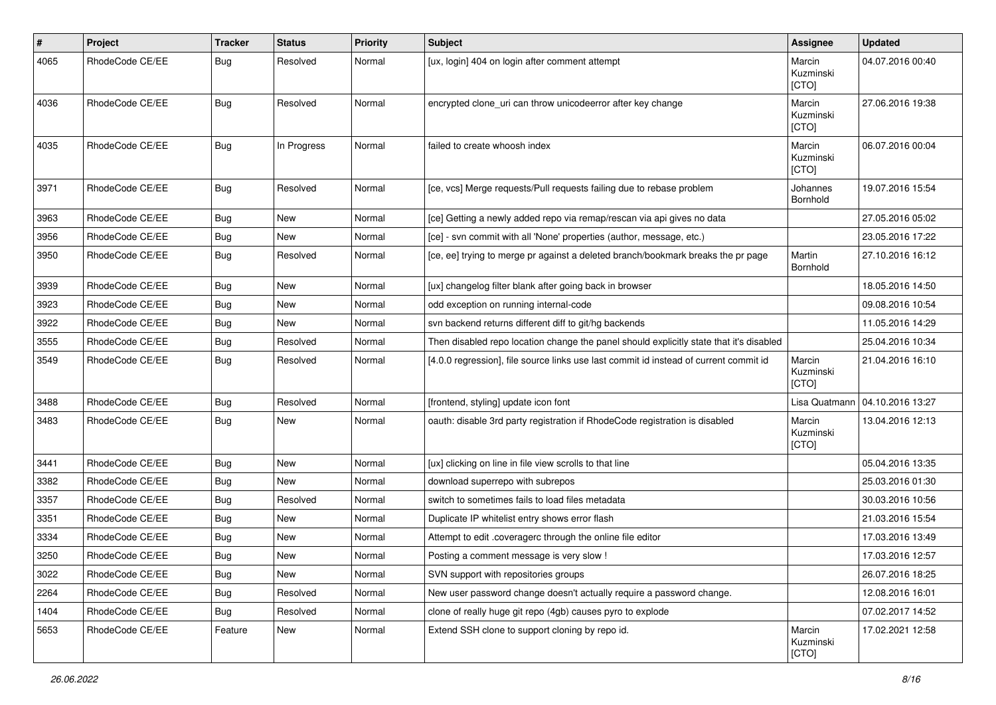| $\sharp$ | Project         | <b>Tracker</b> | <b>Status</b> | <b>Priority</b> | <b>Subject</b>                                                                          | Assignee                     | <b>Updated</b>   |
|----------|-----------------|----------------|---------------|-----------------|-----------------------------------------------------------------------------------------|------------------------------|------------------|
| 4065     | RhodeCode CE/EE | Bug            | Resolved      | Normal          | [ux, login] 404 on login after comment attempt                                          | Marcin<br>Kuzminski<br>[CTO] | 04.07.2016 00:40 |
| 4036     | RhodeCode CE/EE | Bug            | Resolved      | Normal          | encrypted clone_uri can throw unicodeerror after key change                             | Marcin<br>Kuzminski<br>[CTO] | 27.06.2016 19:38 |
| 4035     | RhodeCode CE/EE | Bug            | In Progress   | Normal          | failed to create whoosh index                                                           | Marcin<br>Kuzminski<br>[CTO] | 06.07.2016 00:04 |
| 3971     | RhodeCode CE/EE | Bug            | Resolved      | Normal          | [ce, vcs] Merge requests/Pull requests failing due to rebase problem                    | Johannes<br>Bornhold         | 19.07.2016 15:54 |
| 3963     | RhodeCode CE/EE | Bug            | New           | Normal          | [ce] Getting a newly added repo via remap/rescan via api gives no data                  |                              | 27.05.2016 05:02 |
| 3956     | RhodeCode CE/EE | Bug            | <b>New</b>    | Normal          | [ce] - svn commit with all 'None' properties (author, message, etc.)                    |                              | 23.05.2016 17:22 |
| 3950     | RhodeCode CE/EE | Bug            | Resolved      | Normal          | [ce, ee] trying to merge pr against a deleted branch/bookmark breaks the pr page        | Martin<br>Bornhold           | 27.10.2016 16:12 |
| 3939     | RhodeCode CE/EE | Bug            | <b>New</b>    | Normal          | [ux] changelog filter blank after going back in browser                                 |                              | 18.05.2016 14:50 |
| 3923     | RhodeCode CE/EE | Bug            | New           | Normal          | odd exception on running internal-code                                                  |                              | 09.08.2016 10:54 |
| 3922     | RhodeCode CE/EE | Bug            | New           | Normal          | svn backend returns different diff to git/hg backends                                   |                              | 11.05.2016 14:29 |
| 3555     | RhodeCode CE/EE | Bug            | Resolved      | Normal          | Then disabled repo location change the panel should explicitly state that it's disabled |                              | 25.04.2016 10:34 |
| 3549     | RhodeCode CE/EE | Bug            | Resolved      | Normal          | [4.0.0 regression], file source links use last commit id instead of current commit id   | Marcin<br>Kuzminski<br>[CTO] | 21.04.2016 16:10 |
| 3488     | RhodeCode CE/EE | Bug            | Resolved      | Normal          | [frontend, styling] update icon font                                                    | Lisa Quatmann                | 04.10.2016 13:27 |
| 3483     | RhodeCode CE/EE | Bug            | <b>New</b>    | Normal          | oauth: disable 3rd party registration if RhodeCode registration is disabled             | Marcin<br>Kuzminski<br>[CTO] | 13.04.2016 12:13 |
| 3441     | RhodeCode CE/EE | Bug            | <b>New</b>    | Normal          | [ux] clicking on line in file view scrolls to that line                                 |                              | 05.04.2016 13:35 |
| 3382     | RhodeCode CE/EE | Bug            | New           | Normal          | download superrepo with subrepos                                                        |                              | 25.03.2016 01:30 |
| 3357     | RhodeCode CE/EE | Bug            | Resolved      | Normal          | switch to sometimes fails to load files metadata                                        |                              | 30.03.2016 10:56 |
| 3351     | RhodeCode CE/EE | <b>Bug</b>     | New           | Normal          | Duplicate IP whitelist entry shows error flash                                          |                              | 21.03.2016 15:54 |
| 3334     | RhodeCode CE/EE | Bug            | New           | Normal          | Attempt to edit .coveragerc through the online file editor                              |                              | 17.03.2016 13:49 |
| 3250     | RhodeCode CE/EE | <b>Bug</b>     | New           | Normal          | Posting a comment message is very slow !                                                |                              | 17.03.2016 12:57 |
| 3022     | RhodeCode CE/EE | Bug            | New           | Normal          | SVN support with repositories groups                                                    |                              | 26.07.2016 18:25 |
| 2264     | RhodeCode CE/EE | Bug            | Resolved      | Normal          | New user password change doesn't actually require a password change.                    |                              | 12.08.2016 16:01 |
| 1404     | RhodeCode CE/EE | <b>Bug</b>     | Resolved      | Normal          | clone of really huge git repo (4gb) causes pyro to explode                              |                              | 07.02.2017 14:52 |
| 5653     | RhodeCode CE/EE | Feature        | New           | Normal          | Extend SSH clone to support cloning by repo id.                                         | Marcin<br>Kuzminski<br>[CTO] | 17.02.2021 12:58 |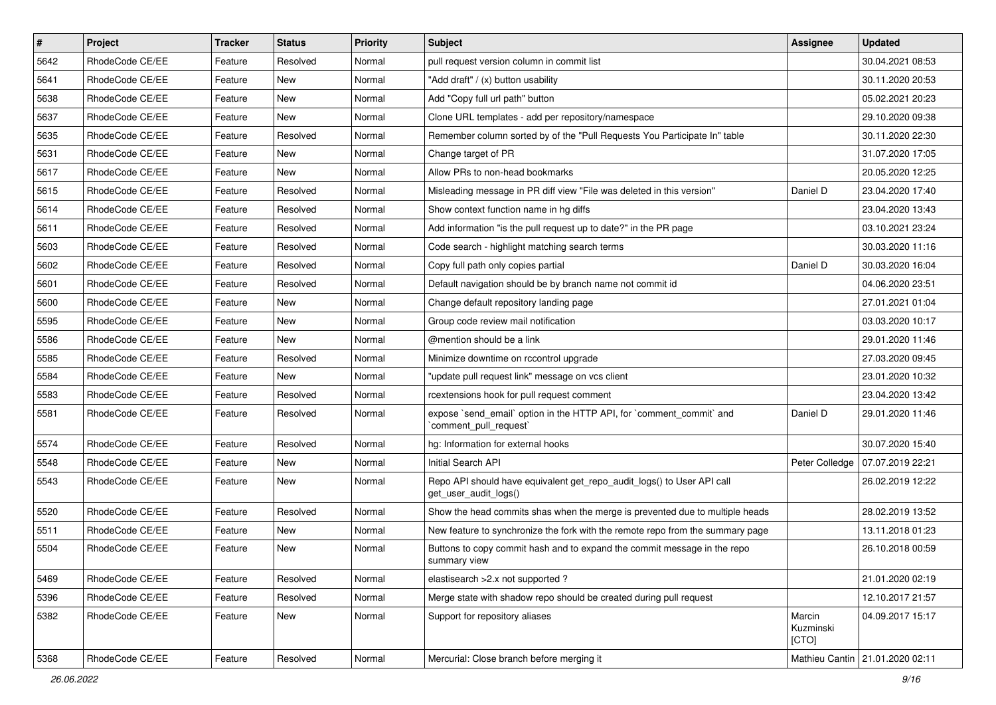| $\sharp$ | Project         | <b>Tracker</b> | <b>Status</b> | Priority | Subject                                                                                         | <b>Assignee</b>              | <b>Updated</b>                    |
|----------|-----------------|----------------|---------------|----------|-------------------------------------------------------------------------------------------------|------------------------------|-----------------------------------|
| 5642     | RhodeCode CE/EE | Feature        | Resolved      | Normal   | pull request version column in commit list                                                      |                              | 30.04.2021 08:53                  |
| 5641     | RhodeCode CE/EE | Feature        | <b>New</b>    | Normal   | "Add draft" / (x) button usability                                                              |                              | 30.11.2020 20:53                  |
| 5638     | RhodeCode CE/EE | Feature        | New           | Normal   | Add "Copy full url path" button                                                                 |                              | 05.02.2021 20:23                  |
| 5637     | RhodeCode CE/EE | Feature        | <b>New</b>    | Normal   | Clone URL templates - add per repository/namespace                                              |                              | 29.10.2020 09:38                  |
| 5635     | RhodeCode CE/EE | Feature        | Resolved      | Normal   | Remember column sorted by of the "Pull Requests You Participate In" table                       |                              | 30.11.2020 22:30                  |
| 5631     | RhodeCode CE/EE | Feature        | New           | Normal   | Change target of PR                                                                             |                              | 31.07.2020 17:05                  |
| 5617     | RhodeCode CE/EE | Feature        | New           | Normal   | Allow PRs to non-head bookmarks                                                                 |                              | 20.05.2020 12:25                  |
| 5615     | RhodeCode CE/EE | Feature        | Resolved      | Normal   | Misleading message in PR diff view "File was deleted in this version"                           | Daniel D                     | 23.04.2020 17:40                  |
| 5614     | RhodeCode CE/EE | Feature        | Resolved      | Normal   | Show context function name in hg diffs                                                          |                              | 23.04.2020 13:43                  |
| 5611     | RhodeCode CE/EE | Feature        | Resolved      | Normal   | Add information "is the pull request up to date?" in the PR page                                |                              | 03.10.2021 23:24                  |
| 5603     | RhodeCode CE/EE | Feature        | Resolved      | Normal   | Code search - highlight matching search terms                                                   |                              | 30.03.2020 11:16                  |
| 5602     | RhodeCode CE/EE | Feature        | Resolved      | Normal   | Copy full path only copies partial                                                              | Daniel D                     | 30.03.2020 16:04                  |
| 5601     | RhodeCode CE/EE | Feature        | Resolved      | Normal   | Default navigation should be by branch name not commit id                                       |                              | 04.06.2020 23:51                  |
| 5600     | RhodeCode CE/EE | Feature        | New           | Normal   | Change default repository landing page                                                          |                              | 27.01.2021 01:04                  |
| 5595     | RhodeCode CE/EE | Feature        | <b>New</b>    | Normal   | Group code review mail notification                                                             |                              | 03.03.2020 10:17                  |
| 5586     | RhodeCode CE/EE | Feature        | New           | Normal   | @mention should be a link                                                                       |                              | 29.01.2020 11:46                  |
| 5585     | RhodeCode CE/EE | Feature        | Resolved      | Normal   | Minimize downtime on rccontrol upgrade                                                          |                              | 27.03.2020 09:45                  |
| 5584     | RhodeCode CE/EE | Feature        | <b>New</b>    | Normal   | "update pull request link" message on vcs client                                                |                              | 23.01.2020 10:32                  |
| 5583     | RhodeCode CE/EE | Feature        | Resolved      | Normal   | rcextensions hook for pull request comment                                                      |                              | 23.04.2020 13:42                  |
| 5581     | RhodeCode CE/EE | Feature        | Resolved      | Normal   | expose `send_email` option in the HTTP API, for `comment_commit` and<br>`comment_pull_request`  | Daniel D                     | 29.01.2020 11:46                  |
| 5574     | RhodeCode CE/EE | Feature        | Resolved      | Normal   | hg: Information for external hooks                                                              |                              | 30.07.2020 15:40                  |
| 5548     | RhodeCode CE/EE | Feature        | <b>New</b>    | Normal   | Initial Search API                                                                              | Peter Colledge               | 07.07.2019 22:21                  |
| 5543     | RhodeCode CE/EE | Feature        | New           | Normal   | Repo API should have equivalent get_repo_audit_logs() to User API call<br>get_user_audit_logs() |                              | 26.02.2019 12:22                  |
| 5520     | RhodeCode CE/EE | Feature        | Resolved      | Normal   | Show the head commits shas when the merge is prevented due to multiple heads                    |                              | 28.02.2019 13:52                  |
| 5511     | RhodeCode CE/EE | Feature        | New           | Normal   | New feature to synchronize the fork with the remote repo from the summary page                  |                              | 13.11.2018 01:23                  |
| 5504     | RhodeCode CE/EE | Feature        | New           | Normal   | Buttons to copy commit hash and to expand the commit message in the repo<br>summary view        |                              | 26.10.2018 00:59                  |
| 5469     | RhodeCode CE/EE | Feature        | Resolved      | Normal   | elastisearch > 2.x not supported ?                                                              |                              | 21.01.2020 02:19                  |
| 5396     | RhodeCode CE/EE | Feature        | Resolved      | Normal   | Merge state with shadow repo should be created during pull request                              |                              | 12.10.2017 21:57                  |
| 5382     | RhodeCode CE/EE | Feature        | New           | Normal   | Support for repository aliases                                                                  | Marcin<br>Kuzminski<br>[CTO] | 04.09.2017 15:17                  |
| 5368     | RhodeCode CE/EE | Feature        | Resolved      | Normal   | Mercurial: Close branch before merging it                                                       |                              | Mathieu Cantin   21.01.2020 02:11 |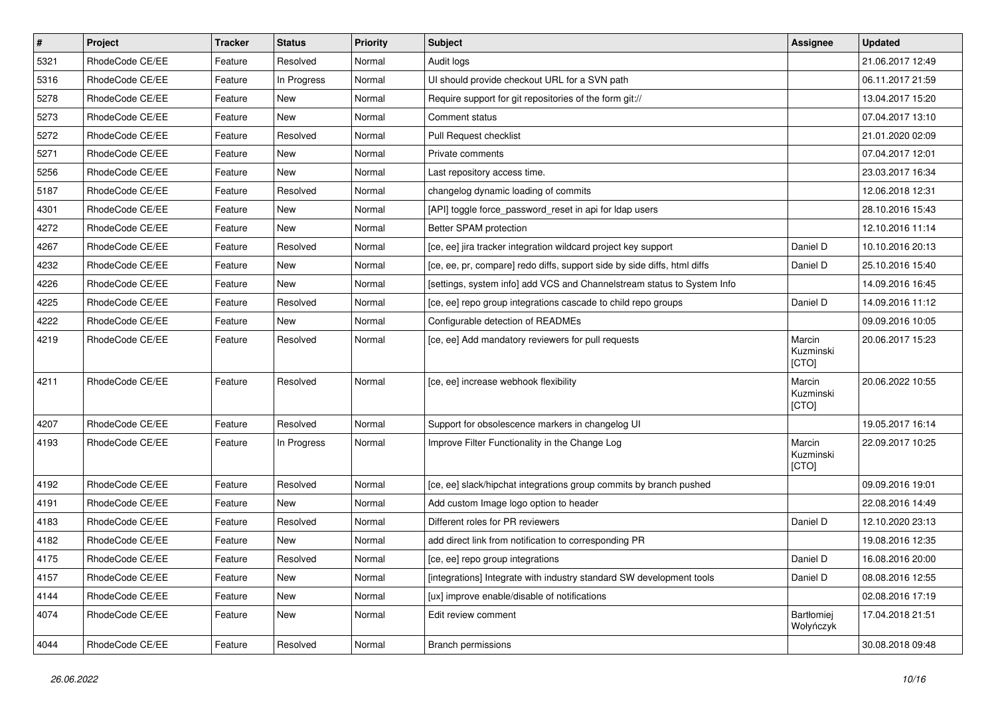| $\pmb{\#}$ | Project         | <b>Tracker</b> | <b>Status</b> | <b>Priority</b> | <b>Subject</b>                                                           | <b>Assignee</b>              | <b>Updated</b>   |
|------------|-----------------|----------------|---------------|-----------------|--------------------------------------------------------------------------|------------------------------|------------------|
| 5321       | RhodeCode CE/EE | Feature        | Resolved      | Normal          | Audit logs                                                               |                              | 21.06.2017 12:49 |
| 5316       | RhodeCode CE/EE | Feature        | In Progress   | Normal          | UI should provide checkout URL for a SVN path                            |                              | 06.11.2017 21:59 |
| 5278       | RhodeCode CE/EE | Feature        | New           | Normal          | Require support for git repositories of the form git://                  |                              | 13.04.2017 15:20 |
| 5273       | RhodeCode CE/EE | Feature        | <b>New</b>    | Normal          | Comment status                                                           |                              | 07.04.2017 13:10 |
| 5272       | RhodeCode CE/EE | Feature        | Resolved      | Normal          | Pull Request checklist                                                   |                              | 21.01.2020 02:09 |
| 5271       | RhodeCode CE/EE | Feature        | New           | Normal          | Private comments                                                         |                              | 07.04.2017 12:01 |
| 5256       | RhodeCode CE/EE | Feature        | New           | Normal          | Last repository access time.                                             |                              | 23.03.2017 16:34 |
| 5187       | RhodeCode CE/EE | Feature        | Resolved      | Normal          | changelog dynamic loading of commits                                     |                              | 12.06.2018 12:31 |
| 4301       | RhodeCode CE/EE | Feature        | New           | Normal          | [API] toggle force_password_reset in api for Idap users                  |                              | 28.10.2016 15:43 |
| 4272       | RhodeCode CE/EE | Feature        | <b>New</b>    | Normal          | Better SPAM protection                                                   |                              | 12.10.2016 11:14 |
| 4267       | RhodeCode CE/EE | Feature        | Resolved      | Normal          | [ce, ee] jira tracker integration wildcard project key support           | Daniel D                     | 10.10.2016 20:13 |
| 4232       | RhodeCode CE/EE | Feature        | New           | Normal          | [ce, ee, pr, compare] redo diffs, support side by side diffs, html diffs | Daniel D                     | 25.10.2016 15:40 |
| 4226       | RhodeCode CE/EE | Feature        | <b>New</b>    | Normal          | [settings, system info] add VCS and Channelstream status to System Info  |                              | 14.09.2016 16:45 |
| 4225       | RhodeCode CE/EE | Feature        | Resolved      | Normal          | [ce, ee] repo group integrations cascade to child repo groups            | Daniel D                     | 14.09.2016 11:12 |
| 4222       | RhodeCode CE/EE | Feature        | New           | Normal          | Configurable detection of READMEs                                        |                              | 09.09.2016 10:05 |
| 4219       | RhodeCode CE/EE | Feature        | Resolved      | Normal          | [ce, ee] Add mandatory reviewers for pull requests                       | Marcin<br>Kuzminski<br>[CTO] | 20.06.2017 15:23 |
| 4211       | RhodeCode CE/EE | Feature        | Resolved      | Normal          | [ce, ee] increase webhook flexibility                                    | Marcin<br>Kuzminski<br>[CTO] | 20.06.2022 10:55 |
| 4207       | RhodeCode CE/EE | Feature        | Resolved      | Normal          | Support for obsolescence markers in changelog UI                         |                              | 19.05.2017 16:14 |
| 4193       | RhodeCode CE/EE | Feature        | In Progress   | Normal          | Improve Filter Functionality in the Change Log                           | Marcin<br>Kuzminski<br>[CTO] | 22.09.2017 10:25 |
| 4192       | RhodeCode CE/EE | Feature        | Resolved      | Normal          | [ce, ee] slack/hipchat integrations group commits by branch pushed       |                              | 09.09.2016 19:01 |
| 4191       | RhodeCode CE/EE | Feature        | <b>New</b>    | Normal          | Add custom Image logo option to header                                   |                              | 22.08.2016 14:49 |
| 4183       | RhodeCode CE/EE | Feature        | Resolved      | Normal          | Different roles for PR reviewers                                         | Daniel D                     | 12.10.2020 23:13 |
| 4182       | RhodeCode CE/EE | Feature        | <b>New</b>    | Normal          | add direct link from notification to corresponding PR                    |                              | 19.08.2016 12:35 |
| 4175       | RhodeCode CE/EE | Feature        | Resolved      | Normal          | [ce, ee] repo group integrations                                         | Daniel D                     | 16.08.2016 20:00 |
| 4157       | RhodeCode CE/EE | Feature        | New           | Normal          | [integrations] Integrate with industry standard SW development tools     | Daniel D                     | 08.08.2016 12:55 |
| 4144       | RhodeCode CE/EE | Feature        | New           | Normal          | [ux] improve enable/disable of notifications                             |                              | 02.08.2016 17:19 |
| 4074       | RhodeCode CE/EE | Feature        | New           | Normal          | Edit review comment                                                      | Bartłomiej<br>Wołyńczyk      | 17.04.2018 21:51 |
| 4044       | RhodeCode CE/EE | Feature        | Resolved      | Normal          | <b>Branch permissions</b>                                                |                              | 30.08.2018 09:48 |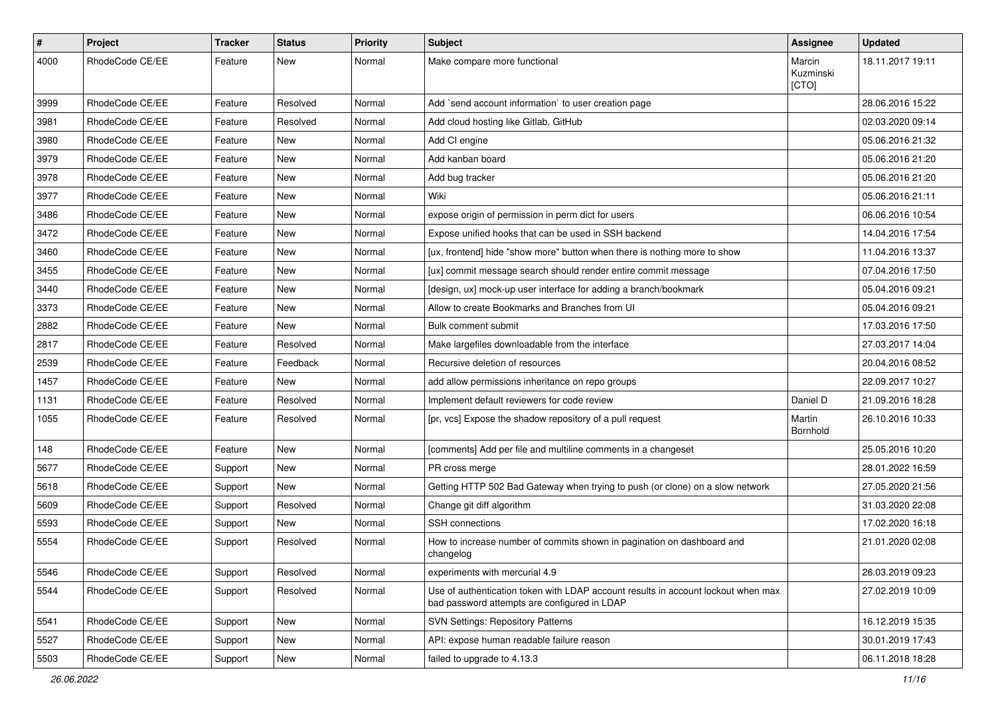| $\#$ | <b>Project</b>  | Tracker | <b>Status</b> | <b>Priority</b> | <b>Subject</b>                                                                                                                    | Assignee                     | <b>Updated</b>   |
|------|-----------------|---------|---------------|-----------------|-----------------------------------------------------------------------------------------------------------------------------------|------------------------------|------------------|
| 4000 | RhodeCode CE/EE | Feature | New           | Normal          | Make compare more functional                                                                                                      | Marcin<br>Kuzminski<br>[CTO] | 18.11.2017 19:11 |
| 3999 | RhodeCode CE/EE | Feature | Resolved      | Normal          | Add `send account information` to user creation page                                                                              |                              | 28.06.2016 15:22 |
| 3981 | RhodeCode CE/EE | Feature | Resolved      | Normal          | Add cloud hosting like Gitlab, GitHub                                                                                             |                              | 02.03.2020 09:14 |
| 3980 | RhodeCode CE/EE | Feature | New           | Normal          | Add CI engine                                                                                                                     |                              | 05.06.2016 21:32 |
| 3979 | RhodeCode CE/EE | Feature | <b>New</b>    | Normal          | Add kanban board                                                                                                                  |                              | 05.06.2016 21:20 |
| 3978 | RhodeCode CE/EE | Feature | New           | Normal          | Add bug tracker                                                                                                                   |                              | 05.06.2016 21:20 |
| 3977 | RhodeCode CE/EE | Feature | New           | Normal          | Wiki                                                                                                                              |                              | 05.06.2016 21:11 |
| 3486 | RhodeCode CE/EE | Feature | <b>New</b>    | Normal          | expose origin of permission in perm dict for users                                                                                |                              | 06.06.2016 10:54 |
| 3472 | RhodeCode CE/EE | Feature | New           | Normal          | Expose unified hooks that can be used in SSH backend                                                                              |                              | 14.04.2016 17:54 |
| 3460 | RhodeCode CE/EE | Feature | <b>New</b>    | Normal          | [ux, frontend] hide "show more" button when there is nothing more to show                                                         |                              | 11.04.2016 13:37 |
| 3455 | RhodeCode CE/EE | Feature | New           | Normal          | [ux] commit message search should render entire commit message                                                                    |                              | 07.04.2016 17:50 |
| 3440 | RhodeCode CE/EE | Feature | New           | Normal          | [design, ux] mock-up user interface for adding a branch/bookmark                                                                  |                              | 05.04.2016 09:21 |
| 3373 | RhodeCode CE/EE | Feature | <b>New</b>    | Normal          | Allow to create Bookmarks and Branches from UI                                                                                    |                              | 05.04.2016 09:21 |
| 2882 | RhodeCode CE/EE | Feature | New           | Normal          | Bulk comment submit                                                                                                               |                              | 17.03.2016 17:50 |
| 2817 | RhodeCode CE/EE | Feature | Resolved      | Normal          | Make largefiles downloadable from the interface                                                                                   |                              | 27.03.2017 14:04 |
| 2539 | RhodeCode CE/EE | Feature | Feedback      | Normal          | Recursive deletion of resources                                                                                                   |                              | 20.04.2016 08:52 |
| 1457 | RhodeCode CE/EE | Feature | New           | Normal          | add allow permissions inheritance on repo groups                                                                                  |                              | 22.09.2017 10:27 |
| 1131 | RhodeCode CE/EE | Feature | Resolved      | Normal          | Implement default reviewers for code review                                                                                       | Daniel D                     | 21.09.2016 18:28 |
| 1055 | RhodeCode CE/EE | Feature | Resolved      | Normal          | [pr, vcs] Expose the shadow repository of a pull request                                                                          | Martin<br>Bornhold           | 26.10.2016 10:33 |
| 148  | RhodeCode CE/EE | Feature | <b>New</b>    | Normal          | [comments] Add per file and multiline comments in a changeset                                                                     |                              | 25.05.2016 10:20 |
| 5677 | RhodeCode CE/EE | Support | New           | Normal          | PR cross merge                                                                                                                    |                              | 28.01.2022 16:59 |
| 5618 | RhodeCode CE/EE | Support | <b>New</b>    | Normal          | Getting HTTP 502 Bad Gateway when trying to push (or clone) on a slow network                                                     |                              | 27.05.2020 21:56 |
| 5609 | RhodeCode CE/EE | Support | Resolved      | Normal          | Change git diff algorithm                                                                                                         |                              | 31.03.2020 22:08 |
| 5593 | RhodeCode CE/EE | Support | New           | Normal          | SSH connections                                                                                                                   |                              | 17.02.2020 16:18 |
| 5554 | RhodeCode CE/EE | Support | Resolved      | Normal          | How to increase number of commits shown in pagination on dashboard and<br>changelog                                               |                              | 21.01.2020 02:08 |
| 5546 | RhodeCode CE/EE | Support | Resolved      | Normal          | experiments with mercurial 4.9                                                                                                    |                              | 26.03.2019 09:23 |
| 5544 | RhodeCode CE/EE | Support | Resolved      | Normal          | Use of authentication token with LDAP account results in account lockout when max<br>bad password attempts are configured in LDAP |                              | 27.02.2019 10:09 |
| 5541 | RhodeCode CE/EE | Support | New           | Normal          | <b>SVN Settings: Repository Patterns</b>                                                                                          |                              | 16.12.2019 15:35 |
| 5527 | RhodeCode CE/EE | Support | New           | Normal          | API: expose human readable failure reason                                                                                         |                              | 30.01.2019 17:43 |
| 5503 | RhodeCode CE/EE | Support | New           | Normal          | failed to upgrade to 4.13.3                                                                                                       |                              | 06.11.2018 18:28 |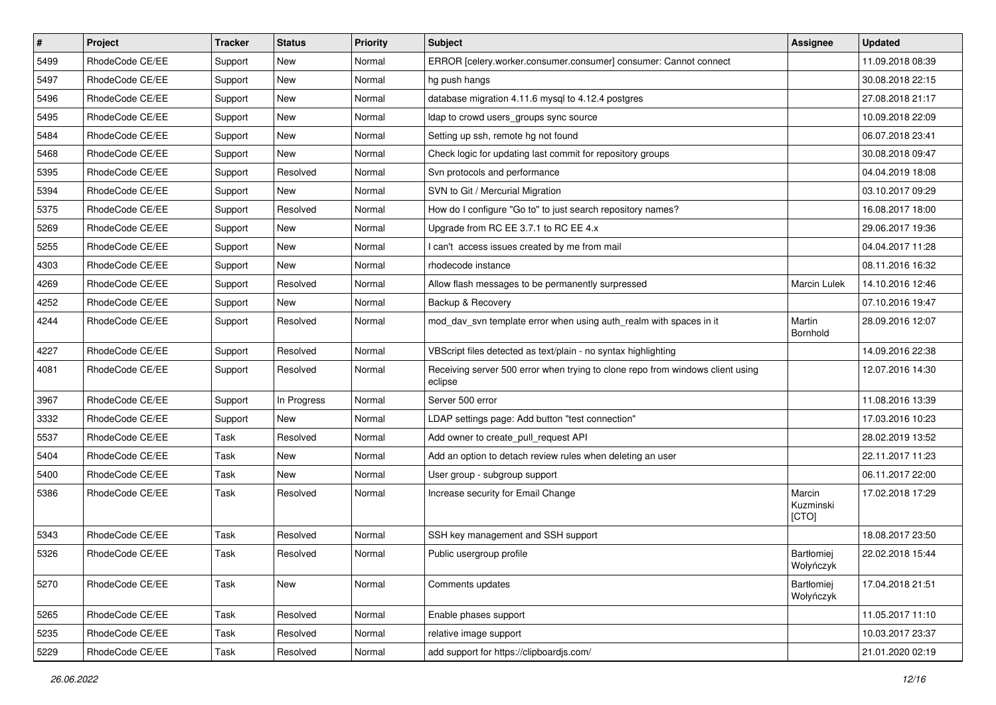| $\vert$ # | Project         | <b>Tracker</b> | <b>Status</b> | <b>Priority</b> | <b>Subject</b>                                                                            | <b>Assignee</b>                | <b>Updated</b>   |
|-----------|-----------------|----------------|---------------|-----------------|-------------------------------------------------------------------------------------------|--------------------------------|------------------|
| 5499      | RhodeCode CE/EE | Support        | New           | Normal          | ERROR [celery.worker.consumer.consumer] consumer: Cannot connect                          |                                | 11.09.2018 08:39 |
| 5497      | RhodeCode CE/EE | Support        | <b>New</b>    | Normal          | hg push hangs                                                                             |                                | 30.08.2018 22:15 |
| 5496      | RhodeCode CE/EE | Support        | New           | Normal          | database migration 4.11.6 mysql to 4.12.4 postgres                                        |                                | 27.08.2018 21:17 |
| 5495      | RhodeCode CE/EE | Support        | New           | Normal          | Idap to crowd users_groups sync source                                                    |                                | 10.09.2018 22:09 |
| 5484      | RhodeCode CE/EE | Support        | New           | Normal          | Setting up ssh, remote hg not found                                                       |                                | 06.07.2018 23:41 |
| 5468      | RhodeCode CE/EE | Support        | New           | Normal          | Check logic for updating last commit for repository groups                                |                                | 30.08.2018 09:47 |
| 5395      | RhodeCode CE/EE | Support        | Resolved      | Normal          | Svn protocols and performance                                                             |                                | 04.04.2019 18:08 |
| 5394      | RhodeCode CE/EE | Support        | New           | Normal          | SVN to Git / Mercurial Migration                                                          |                                | 03.10.2017 09:29 |
| 5375      | RhodeCode CE/EE | Support        | Resolved      | Normal          | How do I configure "Go to" to just search repository names?                               |                                | 16.08.2017 18:00 |
| 5269      | RhodeCode CE/EE | Support        | New           | Normal          | Upgrade from RC EE 3.7.1 to RC EE 4.x                                                     |                                | 29.06.2017 19:36 |
| 5255      | RhodeCode CE/EE | Support        | New           | Normal          | I can't access issues created by me from mail                                             |                                | 04.04.2017 11:28 |
| 4303      | RhodeCode CE/EE | Support        | New           | Normal          | rhodecode instance                                                                        |                                | 08.11.2016 16:32 |
| 4269      | RhodeCode CE/EE | Support        | Resolved      | Normal          | Allow flash messages to be permanently surpressed                                         | <b>Marcin Lulek</b>            | 14.10.2016 12:46 |
| 4252      | RhodeCode CE/EE | Support        | New           | Normal          | Backup & Recovery                                                                         |                                | 07.10.2016 19:47 |
| 4244      | RhodeCode CE/EE | Support        | Resolved      | Normal          | mod_dav_svn template error when using auth_realm with spaces in it                        | Martin<br>Bornhold             | 28.09.2016 12:07 |
| 4227      | RhodeCode CE/EE | Support        | Resolved      | Normal          | VBScript files detected as text/plain - no syntax highlighting                            |                                | 14.09.2016 22:38 |
| 4081      | RhodeCode CE/EE | Support        | Resolved      | Normal          | Receiving server 500 error when trying to clone repo from windows client using<br>eclipse |                                | 12.07.2016 14:30 |
| 3967      | RhodeCode CE/EE | Support        | In Progress   | Normal          | Server 500 error                                                                          |                                | 11.08.2016 13:39 |
| 3332      | RhodeCode CE/EE | Support        | <b>New</b>    | Normal          | LDAP settings page: Add button "test connection"                                          |                                | 17.03.2016 10:23 |
| 5537      | RhodeCode CE/EE | Task           | Resolved      | Normal          | Add owner to create_pull_request API                                                      |                                | 28.02.2019 13:52 |
| 5404      | RhodeCode CE/EE | Task           | New           | Normal          | Add an option to detach review rules when deleting an user                                |                                | 22.11.2017 11:23 |
| 5400      | RhodeCode CE/EE | Task           | New           | Normal          | User group - subgroup support                                                             |                                | 06.11.2017 22:00 |
| 5386      | RhodeCode CE/EE | Task           | Resolved      | Normal          | Increase security for Email Change                                                        | Marcin<br>Kuzminski<br>[CTO]   | 17.02.2018 17:29 |
| 5343      | RhodeCode CE/EE | Task           | Resolved      | Normal          | SSH key management and SSH support                                                        |                                | 18.08.2017 23:50 |
| 5326      | RhodeCode CE/EE | Task           | Resolved      | Normal          | Public usergroup profile                                                                  | <b>Bartłomiej</b><br>Wołyńczyk | 22.02.2018 15:44 |
| 5270      | RhodeCode CE/EE | Task           | New           | Normal          | Comments updates                                                                          | Bartłomiej<br>Wołyńczyk        | 17.04.2018 21:51 |
| 5265      | RhodeCode CE/EE | Task           | Resolved      | Normal          | Enable phases support                                                                     |                                | 11.05.2017 11:10 |
| 5235      | RhodeCode CE/EE | Task           | Resolved      | Normal          | relative image support                                                                    |                                | 10.03.2017 23:37 |
| 5229      | RhodeCode CE/EE | Task           | Resolved      | Normal          | add support for https://clipboardjs.com/                                                  |                                | 21.01.2020 02:19 |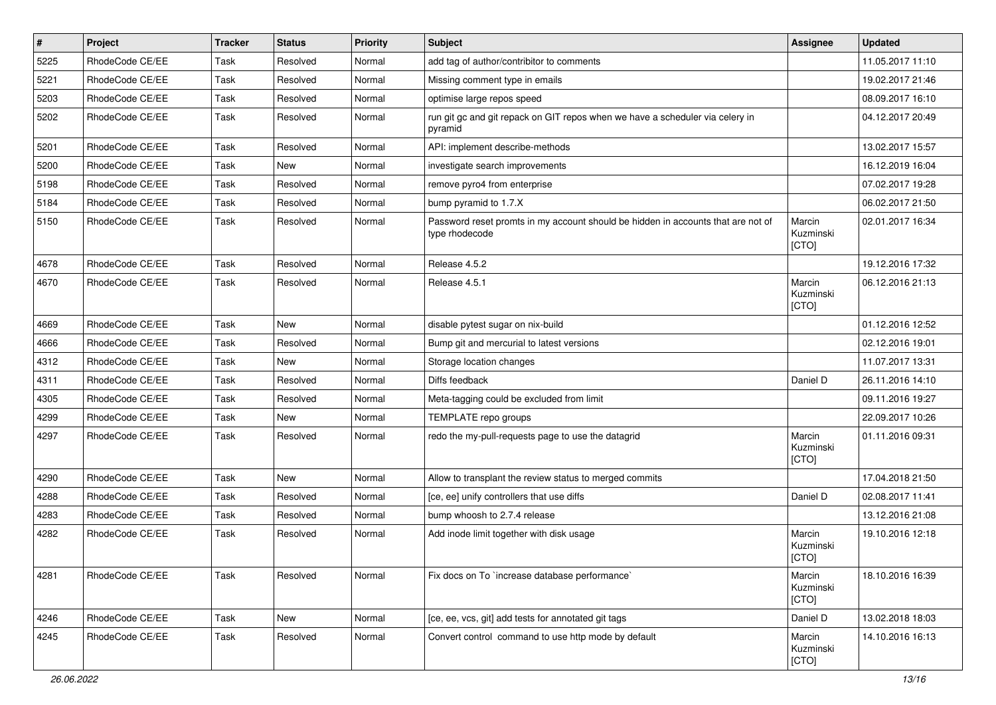| $\vert$ # | Project         | <b>Tracker</b> | <b>Status</b> | <b>Priority</b> | <b>Subject</b>                                                                                     | Assignee                     | <b>Updated</b>   |
|-----------|-----------------|----------------|---------------|-----------------|----------------------------------------------------------------------------------------------------|------------------------------|------------------|
| 5225      | RhodeCode CE/EE | Task           | Resolved      | Normal          | add tag of author/contribitor to comments                                                          |                              | 11.05.2017 11:10 |
| 5221      | RhodeCode CE/EE | Task           | Resolved      | Normal          | Missing comment type in emails                                                                     |                              | 19.02.2017 21:46 |
| 5203      | RhodeCode CE/EE | Task           | Resolved      | Normal          | optimise large repos speed                                                                         |                              | 08.09.2017 16:10 |
| 5202      | RhodeCode CE/EE | Task           | Resolved      | Normal          | run git gc and git repack on GIT repos when we have a scheduler via celery in<br>pyramid           |                              | 04.12.2017 20:49 |
| 5201      | RhodeCode CE/EE | Task           | Resolved      | Normal          | API: implement describe-methods                                                                    |                              | 13.02.2017 15:57 |
| 5200      | RhodeCode CE/EE | Task           | New           | Normal          | investigate search improvements                                                                    |                              | 16.12.2019 16:04 |
| 5198      | RhodeCode CE/EE | Task           | Resolved      | Normal          | remove pyro4 from enterprise                                                                       |                              | 07.02.2017 19:28 |
| 5184      | RhodeCode CE/EE | Task           | Resolved      | Normal          | bump pyramid to 1.7.X                                                                              |                              | 06.02.2017 21:50 |
| 5150      | RhodeCode CE/EE | Task           | Resolved      | Normal          | Password reset promts in my account should be hidden in accounts that are not of<br>type rhodecode | Marcin<br>Kuzminski<br>[CTO] | 02.01.2017 16:34 |
| 4678      | RhodeCode CE/EE | Task           | Resolved      | Normal          | Release 4.5.2                                                                                      |                              | 19.12.2016 17:32 |
| 4670      | RhodeCode CE/EE | Task           | Resolved      | Normal          | Release 4.5.1                                                                                      | Marcin<br>Kuzminski<br>[CTO] | 06.12.2016 21:13 |
| 4669      | RhodeCode CE/EE | Task           | <b>New</b>    | Normal          | disable pytest sugar on nix-build                                                                  |                              | 01.12.2016 12:52 |
| 4666      | RhodeCode CE/EE | Task           | Resolved      | Normal          | Bump git and mercurial to latest versions                                                          |                              | 02.12.2016 19:01 |
| 4312      | RhodeCode CE/EE | Task           | <b>New</b>    | Normal          | Storage location changes                                                                           |                              | 11.07.2017 13:31 |
| 4311      | RhodeCode CE/EE | Task           | Resolved      | Normal          | Diffs feedback                                                                                     | Daniel D                     | 26.11.2016 14:10 |
| 4305      | RhodeCode CE/EE | Task           | Resolved      | Normal          | Meta-tagging could be excluded from limit                                                          |                              | 09.11.2016 19:27 |
| 4299      | RhodeCode CE/EE | Task           | New           | Normal          | TEMPLATE repo groups                                                                               |                              | 22.09.2017 10:26 |
| 4297      | RhodeCode CE/EE | Task           | Resolved      | Normal          | redo the my-pull-requests page to use the datagrid                                                 | Marcin<br>Kuzminski<br>[CTO] | 01.11.2016 09:31 |
| 4290      | RhodeCode CE/EE | Task           | New           | Normal          | Allow to transplant the review status to merged commits                                            |                              | 17.04.2018 21:50 |
| 4288      | RhodeCode CE/EE | Task           | Resolved      | Normal          | [ce, ee] unify controllers that use diffs                                                          | Daniel D                     | 02.08.2017 11:41 |
| 4283      | RhodeCode CE/EE | Task           | Resolved      | Normal          | bump whoosh to 2.7.4 release                                                                       |                              | 13.12.2016 21:08 |
| 4282      | RhodeCode CE/EE | Task           | Resolved      | Normal          | Add inode limit together with disk usage                                                           | Marcin<br>Kuzminski<br>[CTO] | 19.10.2016 12:18 |
| 4281      | RhodeCode CE/EE | Task           | Resolved      | Normal          | Fix docs on To `increase database performance`                                                     | Marcin<br>Kuzminski<br>[CTO] | 18.10.2016 16:39 |
| 4246      | RhodeCode CE/EE | Task           | New           | Normal          | [ce, ee, vcs, git] add tests for annotated git tags                                                | Daniel D                     | 13.02.2018 18:03 |
| 4245      | RhodeCode CE/EE | Task           | Resolved      | Normal          | Convert control command to use http mode by default                                                | Marcin<br>Kuzminski<br>[CTO] | 14.10.2016 16:13 |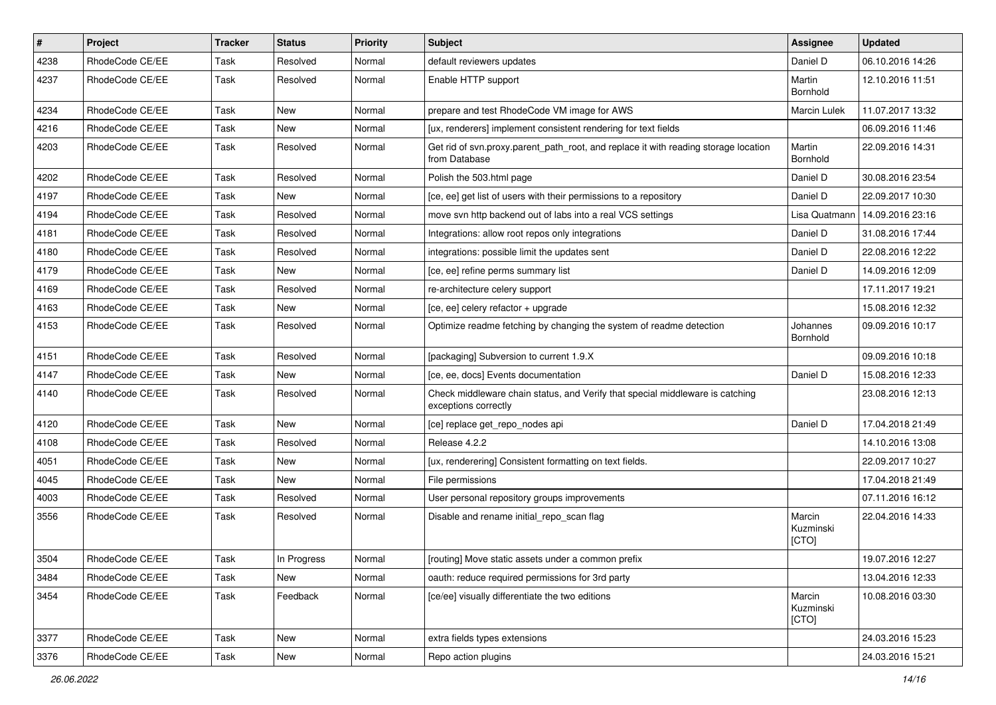| $\vert$ # | Project         | Tracker | <b>Status</b> | <b>Priority</b> | Subject                                                                                               | Assignee                     | <b>Updated</b>   |
|-----------|-----------------|---------|---------------|-----------------|-------------------------------------------------------------------------------------------------------|------------------------------|------------------|
| 4238      | RhodeCode CE/EE | Task    | Resolved      | Normal          | default reviewers updates                                                                             | Daniel D                     | 06.10.2016 14:26 |
| 4237      | RhodeCode CE/EE | Task    | Resolved      | Normal          | Enable HTTP support                                                                                   | Martin<br>Bornhold           | 12.10.2016 11:51 |
| 4234      | RhodeCode CE/EE | Task    | New           | Normal          | prepare and test RhodeCode VM image for AWS                                                           | <b>Marcin Lulek</b>          | 11.07.2017 13:32 |
| 4216      | RhodeCode CE/EE | Task    | <b>New</b>    | Normal          | [ux, renderers] implement consistent rendering for text fields                                        |                              | 06.09.2016 11:46 |
| 4203      | RhodeCode CE/EE | Task    | Resolved      | Normal          | Get rid of svn.proxy.parent path root, and replace it with reading storage location<br>from Database  | Martin<br>Bornhold           | 22.09.2016 14:31 |
| 4202      | RhodeCode CE/EE | Task    | Resolved      | Normal          | Polish the 503.html page                                                                              | Daniel D                     | 30.08.2016 23:54 |
| 4197      | RhodeCode CE/EE | Task    | New           | Normal          | [ce, ee] get list of users with their permissions to a repository                                     | Daniel D                     | 22.09.2017 10:30 |
| 4194      | RhodeCode CE/EE | Task    | Resolved      | Normal          | move svn http backend out of labs into a real VCS settings                                            | Lisa Quatmann                | 14.09.2016 23:16 |
| 4181      | RhodeCode CE/EE | Task    | Resolved      | Normal          | Integrations: allow root repos only integrations                                                      | Daniel D                     | 31.08.2016 17:44 |
| 4180      | RhodeCode CE/EE | Task    | Resolved      | Normal          | integrations: possible limit the updates sent                                                         | Daniel D                     | 22.08.2016 12:22 |
| 4179      | RhodeCode CE/EE | Task    | New           | Normal          | [ce, ee] refine perms summary list                                                                    | Daniel D                     | 14.09.2016 12:09 |
| 4169      | RhodeCode CE/EE | Task    | Resolved      | Normal          | re-architecture celery support                                                                        |                              | 17.11.2017 19:21 |
| 4163      | RhodeCode CE/EE | Task    | New           | Normal          | [ce, ee] celery refactor + upgrade                                                                    |                              | 15.08.2016 12:32 |
| 4153      | RhodeCode CE/EE | Task    | Resolved      | Normal          | Optimize readme fetching by changing the system of readme detection                                   | Johannes<br>Bornhold         | 09.09.2016 10:17 |
| 4151      | RhodeCode CE/EE | Task    | Resolved      | Normal          | [packaging] Subversion to current 1.9.X                                                               |                              | 09.09.2016 10:18 |
| 4147      | RhodeCode CE/EE | Task    | <b>New</b>    | Normal          | [ce, ee, docs] Events documentation                                                                   | Daniel D                     | 15.08.2016 12:33 |
| 4140      | RhodeCode CE/EE | Task    | Resolved      | Normal          | Check middleware chain status, and Verify that special middleware is catching<br>exceptions correctly |                              | 23.08.2016 12:13 |
| 4120      | RhodeCode CE/EE | Task    | New           | Normal          | [ce] replace get_repo_nodes api                                                                       | Daniel D                     | 17.04.2018 21:49 |
| 4108      | RhodeCode CE/EE | Task    | Resolved      | Normal          | Release 4.2.2                                                                                         |                              | 14.10.2016 13:08 |
| 4051      | RhodeCode CE/EE | Task    | New           | Normal          | [ux, renderering] Consistent formatting on text fields.                                               |                              | 22.09.2017 10:27 |
| 4045      | RhodeCode CE/EE | Task    | New           | Normal          | File permissions                                                                                      |                              | 17.04.2018 21:49 |
| 4003      | RhodeCode CE/EE | Task    | Resolved      | Normal          | User personal repository groups improvements                                                          |                              | 07.11.2016 16:12 |
| 3556      | RhodeCode CE/EE | Task    | Resolved      | Normal          | Disable and rename initial repo scan flag                                                             | Marcin<br>Kuzminski<br>[CTO] | 22.04.2016 14:33 |
| 3504      | RhodeCode CE/EE | Task    | In Progress   | Normal          | [routing] Move static assets under a common prefix                                                    |                              | 19.07.2016 12:27 |
| 3484      | RhodeCode CE/EE | Task    | New           | Normal          | oauth: reduce required permissions for 3rd party                                                      |                              | 13.04.2016 12:33 |
| 3454      | RhodeCode CE/EE | Task    | Feedback      | Normal          | [ce/ee] visually differentiate the two editions                                                       | Marcin<br>Kuzminski<br>[CTO] | 10.08.2016 03:30 |
| 3377      | RhodeCode CE/EE | Task    | New           | Normal          | extra fields types extensions                                                                         |                              | 24.03.2016 15:23 |
| 3376      | RhodeCode CE/EE | Task    | New           | Normal          | Repo action plugins                                                                                   |                              | 24.03.2016 15:21 |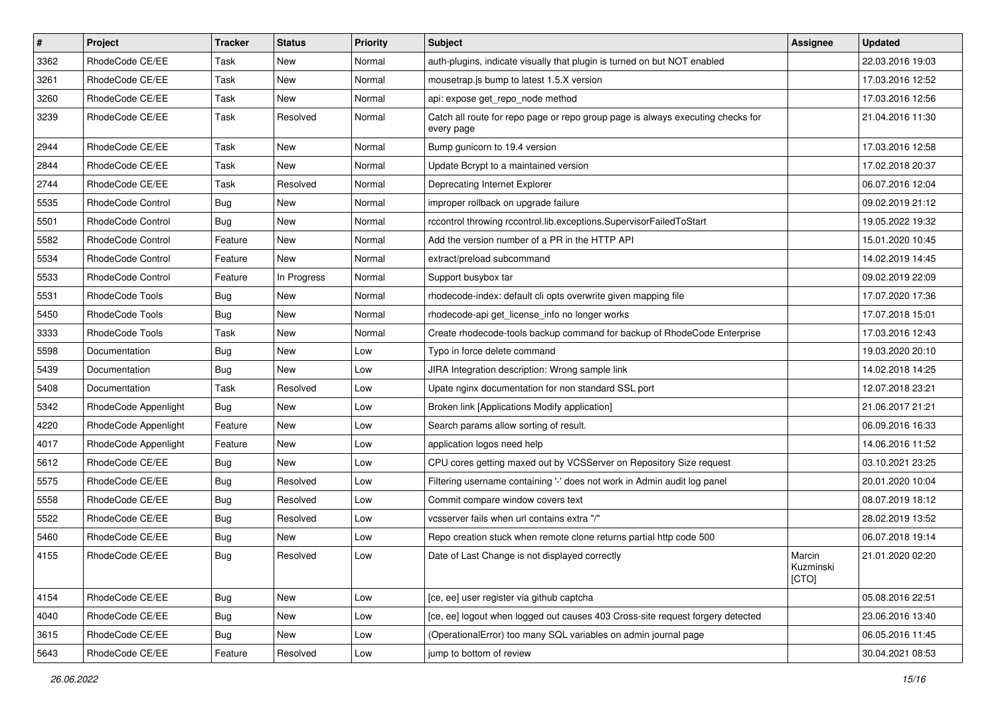| $\sharp$ | Project              | <b>Tracker</b> | <b>Status</b> | <b>Priority</b> | <b>Subject</b>                                                                                | <b>Assignee</b>              | <b>Updated</b>   |
|----------|----------------------|----------------|---------------|-----------------|-----------------------------------------------------------------------------------------------|------------------------------|------------------|
| 3362     | RhodeCode CE/EE      | Task           | New           | Normal          | auth-plugins, indicate visually that plugin is turned on but NOT enabled                      |                              | 22.03.2016 19:03 |
| 3261     | RhodeCode CE/EE      | Task           | New           | Normal          | mousetrap.js bump to latest 1.5.X version                                                     |                              | 17.03.2016 12:52 |
| 3260     | RhodeCode CE/EE      | Task           | New           | Normal          | api: expose get repo node method                                                              |                              | 17.03.2016 12:56 |
| 3239     | RhodeCode CE/EE      | Task           | Resolved      | Normal          | Catch all route for repo page or repo group page is always executing checks for<br>every page |                              | 21.04.2016 11:30 |
| 2944     | RhodeCode CE/EE      | Task           | New           | Normal          | Bump gunicorn to 19.4 version                                                                 |                              | 17.03.2016 12:58 |
| 2844     | RhodeCode CE/EE      | Task           | New           | Normal          | Update Bcrypt to a maintained version                                                         |                              | 17.02.2018 20:37 |
| 2744     | RhodeCode CE/EE      | Task           | Resolved      | Normal          | Deprecating Internet Explorer                                                                 |                              | 06.07.2016 12:04 |
| 5535     | RhodeCode Control    | Bug            | New           | Normal          | improper rollback on upgrade failure                                                          |                              | 09.02.2019 21:12 |
| 5501     | RhodeCode Control    | Bug            | <b>New</b>    | Normal          | rccontrol throwing rccontrol.lib.exceptions.SupervisorFailedToStart                           |                              | 19.05.2022 19:32 |
| 5582     | RhodeCode Control    | Feature        | New           | Normal          | Add the version number of a PR in the HTTP API                                                |                              | 15.01.2020 10:45 |
| 5534     | RhodeCode Control    | Feature        | New           | Normal          | extract/preload subcommand                                                                    |                              | 14.02.2019 14:45 |
| 5533     | RhodeCode Control    | Feature        | In Progress   | Normal          | Support busybox tar                                                                           |                              | 09.02.2019 22:09 |
| 5531     | RhodeCode Tools      | Bug            | New           | Normal          | rhodecode-index: default cli opts overwrite given mapping file                                |                              | 17.07.2020 17:36 |
| 5450     | RhodeCode Tools      | Bug            | New           | Normal          | rhodecode-api get_license_info no longer works                                                |                              | 17.07.2018 15:01 |
| 3333     | RhodeCode Tools      | Task           | New           | Normal          | Create rhodecode-tools backup command for backup of RhodeCode Enterprise                      |                              | 17.03.2016 12:43 |
| 5598     | Documentation        | Bug            | New           | Low             | Typo in force delete command                                                                  |                              | 19.03.2020 20:10 |
| 5439     | Documentation        | Bug            | <b>New</b>    | Low             | JIRA Integration description: Wrong sample link                                               |                              | 14.02.2018 14:25 |
| 5408     | Documentation        | Task           | Resolved      | Low             | Upate nginx documentation for non standard SSL port                                           |                              | 12.07.2018 23:21 |
| 5342     | RhodeCode Appenlight | Bug            | <b>New</b>    | Low             | Broken link [Applications Modify application]                                                 |                              | 21.06.2017 21:21 |
| 4220     | RhodeCode Appenlight | Feature        | <b>New</b>    | Low             | Search params allow sorting of result.                                                        |                              | 06.09.2016 16:33 |
| 4017     | RhodeCode Appenlight | Feature        | New           | Low             | application logos need help                                                                   |                              | 14.06.2016 11:52 |
| 5612     | RhodeCode CE/EE      | Bug            | <b>New</b>    | Low             | CPU cores getting maxed out by VCSServer on Repository Size request                           |                              | 03.10.2021 23:25 |
| 5575     | RhodeCode CE/EE      | Bug            | Resolved      | Low             | Filtering username containing '-' does not work in Admin audit log panel                      |                              | 20.01.2020 10:04 |
| 5558     | RhodeCode CE/EE      | Bug            | Resolved      | Low             | Commit compare window covers text                                                             |                              | 08.07.2019 18:12 |
| 5522     | RhodeCode CE/EE      | Bug            | Resolved      | Low             | vcsserver fails when url contains extra "/"                                                   |                              | 28.02.2019 13:52 |
| 5460     | RhodeCode CE/EE      | Bug            | New           | Low             | Repo creation stuck when remote clone returns partial http code 500                           |                              | 06.07.2018 19:14 |
| 4155     | RhodeCode CE/EE      | <b>Bug</b>     | Resolved      | Low             | Date of Last Change is not displayed correctly                                                | Marcin<br>Kuzminski<br>[CTO] | 21.01.2020 02:20 |
| 4154     | RhodeCode CE/EE      | Bug            | New           | Low             | [ce, ee] user register via github captcha                                                     |                              | 05.08.2016 22:51 |
| 4040     | RhodeCode CE/EE      | <b>Bug</b>     | New           | Low             | [ce, ee] logout when logged out causes 403 Cross-site request forgery detected                |                              | 23.06.2016 13:40 |
| 3615     | RhodeCode CE/EE      | Bug            | New           | Low             | (OperationalError) too many SQL variables on admin journal page                               |                              | 06.05.2016 11:45 |
| 5643     | RhodeCode CE/EE      | Feature        | Resolved      | Low             | jump to bottom of review                                                                      |                              | 30.04.2021 08:53 |